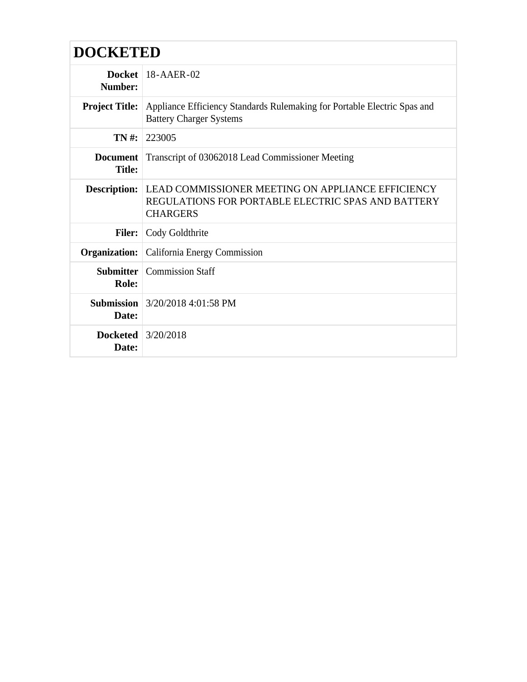# **DOCKETED**

| Number:                            | Docket   $18$ -AAER-02                                                                                                           |
|------------------------------------|----------------------------------------------------------------------------------------------------------------------------------|
|                                    | <b>Project Title:</b> Appliance Efficiency Standards Rulemaking for Portable Electric Spas and<br><b>Battery Charger Systems</b> |
| $TN#$ :                            | 223005                                                                                                                           |
| <b>Document</b><br><b>Title:</b>   | Transcript of 03062018 Lead Commissioner Meeting                                                                                 |
| <b>Description:</b>                | LEAD COMMISSIONER MEETING ON APPLIANCE EFFICIENCY<br>REGULATIONS FOR PORTABLE ELECTRIC SPAS AND BATTERY<br><b>CHARGERS</b>       |
| <b>Filer:</b>                      | Cody Goldthrite                                                                                                                  |
|                                    | <b>Organization:</b> California Energy Commission                                                                                |
| Role:                              | <b>Submitter</b>   Commission Staff                                                                                              |
| Date:                              | <b>Submission</b> 3/20/2018 4:01:58 PM                                                                                           |
| <b>Docketed</b> 3/20/2018<br>Date: |                                                                                                                                  |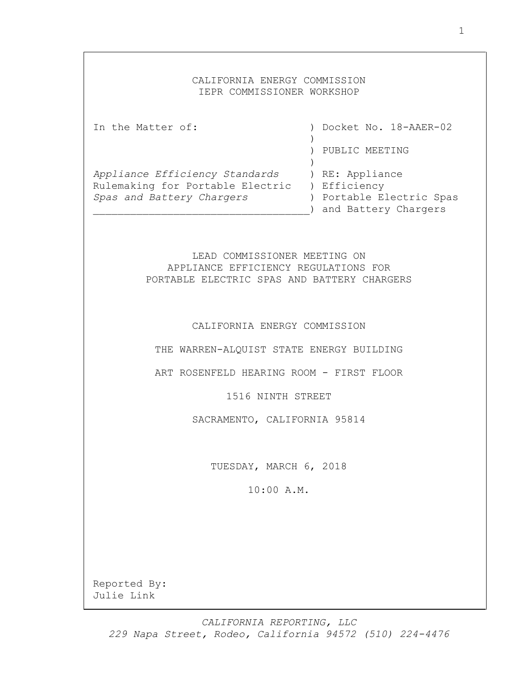# CALIFORNIA ENERGY COMMISSION IEPR COMMISSIONER WORKSHOP

| In the Matter of:                             |  | ) Docket No. 18-AAER-02 |
|-----------------------------------------------|--|-------------------------|
|                                               |  | PUBLIC MEETING          |
|                                               |  |                         |
| Appliance Efficiency Standards                |  | ) RE: Appliance         |
| Rulemaking for Portable Electric ) Efficiency |  |                         |
| Spas and Battery Chargers                     |  | Portable Electric Spas  |
|                                               |  | ) and Battery Chargers  |

LEAD COMMISSIONER MEETING ON APPLIANCE EFFICIENCY REGULATIONS FOR PORTABLE ELECTRIC SPAS AND BATTERY CHARGERS

CALIFORNIA ENERGY COMMISSION

THE WARREN-ALQUIST STATE ENERGY BUILDING

ART ROSENFELD HEARING ROOM - FIRST FLOOR

1516 NINTH STREET

SACRAMENTO, CALIFORNIA 95814

TUESDAY, MARCH 6, 2018

10:00 A.M.

Reported By: Julie Link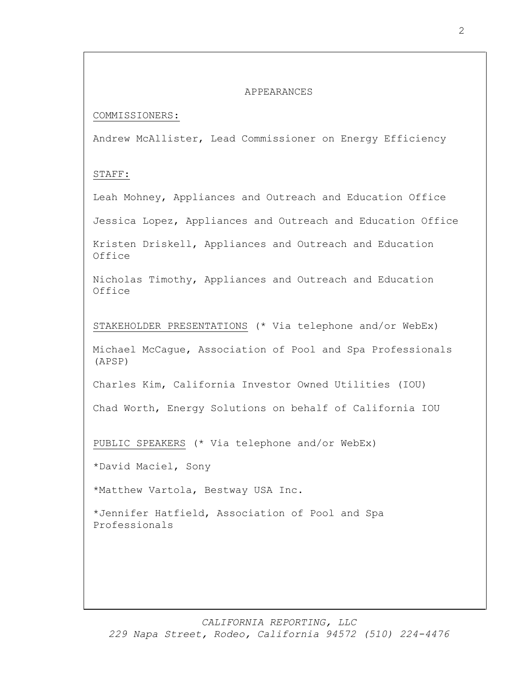#### APPEARANCES

### COMMISSIONERS:

Andrew McAllister, Lead Commissioner on Energy Efficiency

# STAFF:

Leah Mohney, Appliances and Outreach and Education Office

Jessica Lopez, Appliances and Outreach and Education Office

Kristen Driskell, Appliances and Outreach and Education Office

Nicholas Timothy, Appliances and Outreach and Education Office

STAKEHOLDER PRESENTATIONS (\* Via telephone and/or WebEx)

Michael McCague, Association of Pool and Spa Professionals (APSP)

Charles Kim, California Investor Owned Utilities (IOU)

Chad Worth, Energy Solutions on behalf of California IOU

PUBLIC SPEAKERS (\* Via telephone and/or WebEx)

\*David Maciel, Sony

\*Matthew Vartola, Bestway USA Inc.

\*Jennifer Hatfield, Association of Pool and Spa Professionals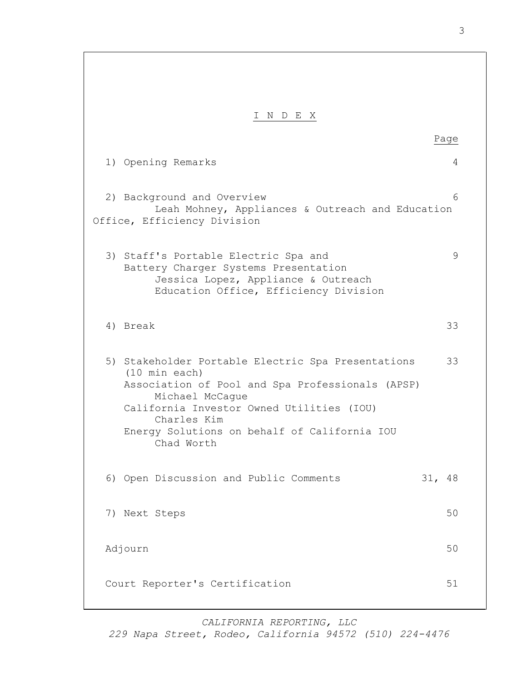I N D E X Page 1) Opening Remarks 4 2) Background and Overview 6 Leah Mohney, Appliances & Outreach and Education Office, Efficiency Division 3) Staff's Portable Electric Spa and 9 Battery Charger Systems Presentation Jessica Lopez, Appliance & Outreach Education Office, Efficiency Division 4) Break 33 5) Stakeholder Portable Electric Spa Presentations 33 (10 min each) Association of Pool and Spa Professionals (APSP) Michael McCague California Investor Owned Utilities (IOU) Charles Kim Energy Solutions on behalf of California IOU Chad Worth 6) Open Discussion and Public Comments 31, 48 7) Next Steps 50 Adjourn 50 Court Reporter's Certification 51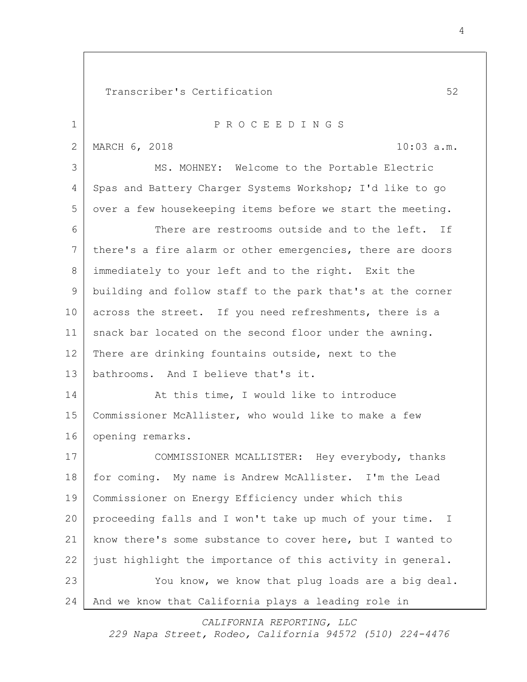Transcriber's Certification 52 1 P R O C E E D I N G S 2 MARCH 6, 2018 10:03 a.m. MS. MOHNEY: Welcome to the Portable Electric 4 | Spas and Battery Charger Systems Workshop; I'd like to go over a few housekeeping items before we start the meeting. There are restrooms outside and to the left. If there's a fire alarm or other emergencies, there are doors 8 | immediately to your left and to the right. Exit the building and follow staff to the park that's at the corner 10 across the street. If you need refreshments, there is a snack bar located on the second floor under the awning. There are drinking fountains outside, next to the bathrooms. And I believe that's it. 14 At this time, I would like to introduce Commissioner McAllister, who would like to make a few opening remarks. COMMISSIONER MCALLISTER: Hey everybody, thanks for coming. My name is Andrew McAllister. I'm the Lead Commissioner on Energy Efficiency under which this proceeding falls and I won't take up much of your time. I know there's some substance to cover here, but I wanted to 22 just highlight the importance of this activity in general. 23 You know, we know that plug loads are a big deal. And we know that California plays a leading role in

*CALIFORNIA REPORTING, LLC*

*229 Napa Street, Rodeo, California 94572 (510) 224-4476*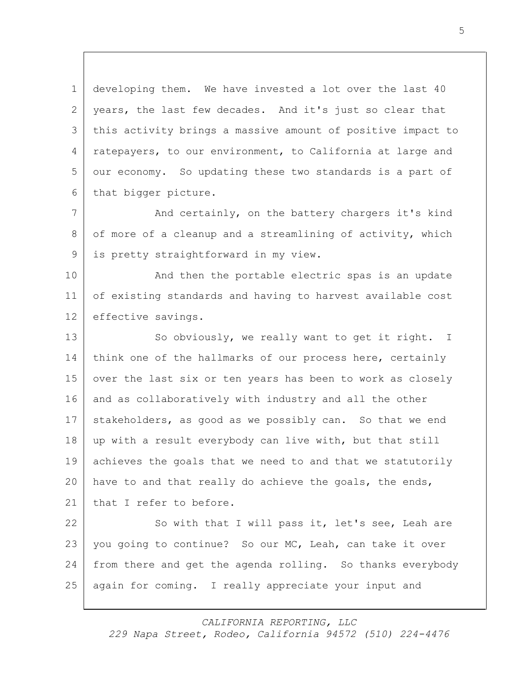1 developing them. We have invested a lot over the last 40 2 years, the last few decades. And it's just so clear that 3 this activity brings a massive amount of positive impact to 4 | ratepayers, to our environment, to California at large and 5 our economy. So updating these two standards is a part of 6 that bigger picture.

7 | And certainly, on the battery chargers it's kind 8 of more of a cleanup and a streamlining of activity, which 9 is pretty straightforward in my view.

10 And then the portable electric spas is an update 11 of existing standards and having to harvest available cost 12 effective savings.

13 So obviously, we really want to get it right. I 14 think one of the hallmarks of our process here, certainly 15 over the last six or ten years has been to work as closely 16 and as collaboratively with industry and all the other 17 stakeholders, as good as we possibly can. So that we end 18 up with a result everybody can live with, but that still 19 achieves the goals that we need to and that we statutorily 20 have to and that really do achieve the goals, the ends, 21 that I refer to before.

22 So with that I will pass it, let's see, Leah are 23 | you going to continue? So our MC, Leah, can take it over 24 from there and get the agenda rolling. So thanks everybody 25 again for coming. I really appreciate your input and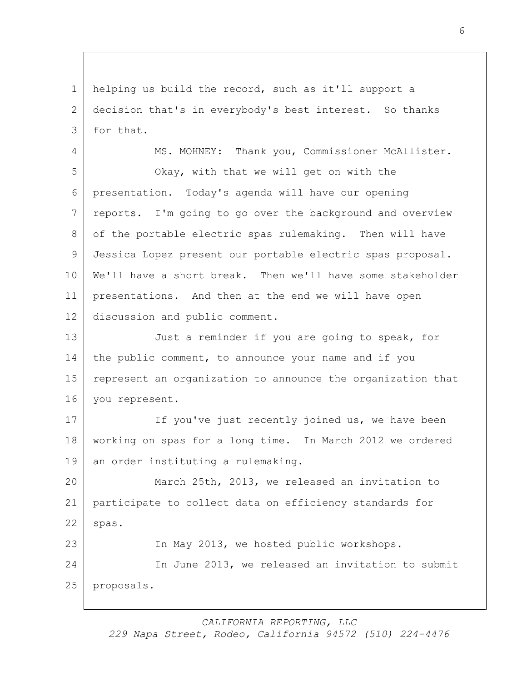helping us build the record, such as it'll support a decision that's in everybody's best interest. So thanks 3 for that.

4 | MS. MOHNEY: Thank you, Commissioner McAllister. Okay, with that we will get on with the presentation. Today's agenda will have our opening 7 reports. I'm going to go over the background and overview of the portable electric spas rulemaking. Then will have Jessica Lopez present our portable electric spas proposal. We'll have a short break. Then we'll have some stakeholder presentations. And then at the end we will have open discussion and public comment.

13 Just a reminder if you are going to speak, for 14 the public comment, to announce your name and if you 15 represent an organization to announce the organization that you represent.

17 If you've just recently joined us, we have been working on spas for a long time. In March 2012 we ordered 19 an order instituting a rulemaking.

 March 25th, 2013, we released an invitation to participate to collect data on efficiency standards for spas.

 In May 2013, we hosted public workshops. In June 2013, we released an invitation to submit proposals.

*CALIFORNIA REPORTING, LLC*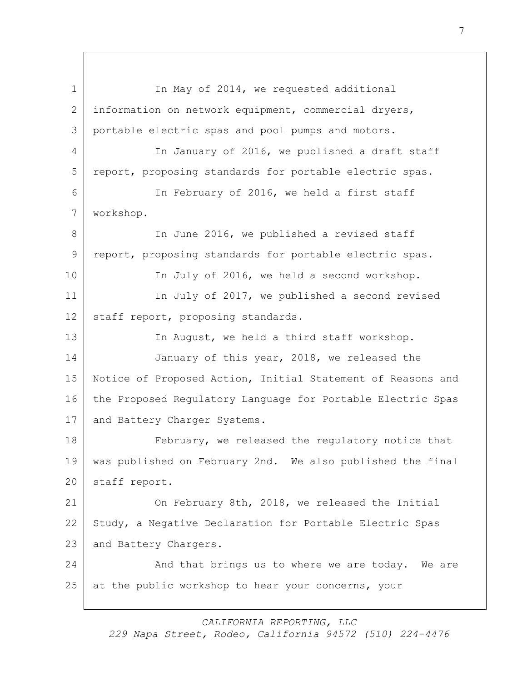1 In May of 2014, we requested additional 2 information on network equipment, commercial dryers, 3 portable electric spas and pool pumps and motors. 4 In January of 2016, we published a draft staff 5 report, proposing standards for portable electric spas. 6 In February of 2016, we held a first staff 7 workshop. 8 In June 2016, we published a revised staff 9 report, proposing standards for portable electric spas. 10 In July of 2016, we held a second workshop. 11 In July of 2017, we published a second revised 12 staff report, proposing standards. 13 In August, we held a third staff workshop. 14 January of this year, 2018, we released the 15 Notice of Proposed Action, Initial Statement of Reasons and 16 the Proposed Regulatory Language for Portable Electric Spas 17 | and Battery Charger Systems. 18 **February,** we released the regulatory notice that 19 was published on February 2nd. We also published the final 20 staff report. 21 On February 8th, 2018, we released the Initial 22 Study, a Negative Declaration for Portable Electric Spas 23 and Battery Chargers. 24 And that brings us to where we are today. We are 25 at the public workshop to hear your concerns, your

*CALIFORNIA REPORTING, LLC*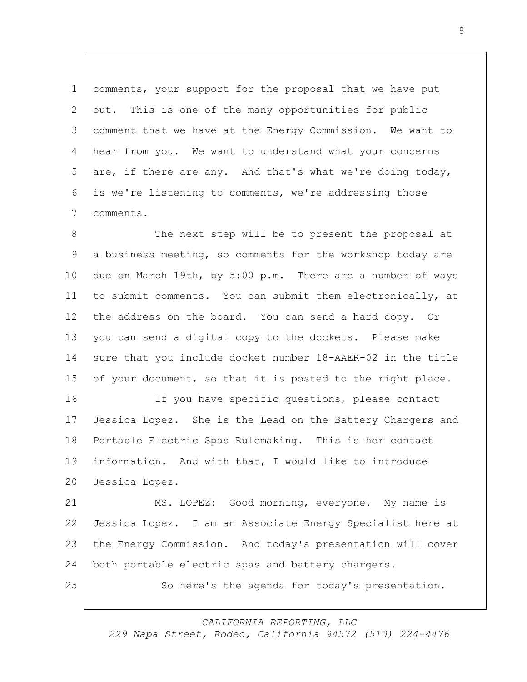1 comments, your support for the proposal that we have put 2 out. This is one of the many opportunities for public comment that we have at the Energy Commission. We want to 4 hear from you. We want to understand what your concerns are, if there are any. And that's what we're doing today, is we're listening to comments, we're addressing those comments.

8 The next step will be to present the proposal at a business meeting, so comments for the workshop today are due on March 19th, by 5:00 p.m. There are a number of ways to submit comments. You can submit them electronically, at 12 the address on the board. You can send a hard copy. Or you can send a digital copy to the dockets. Please make 14 sure that you include docket number 18-AAER-02 in the title 15 of your document, so that it is posted to the right place.

16 If you have specific questions, please contact Jessica Lopez. She is the Lead on the Battery Chargers and Portable Electric Spas Rulemaking. This is her contact information. And with that, I would like to introduce Jessica Lopez.

 MS. LOPEZ: Good morning, everyone. My name is Jessica Lopez. I am an Associate Energy Specialist here at the Energy Commission. And today's presentation will cover both portable electric spas and battery chargers.

25 So here's the agenda for today's presentation.

*CALIFORNIA REPORTING, LLC*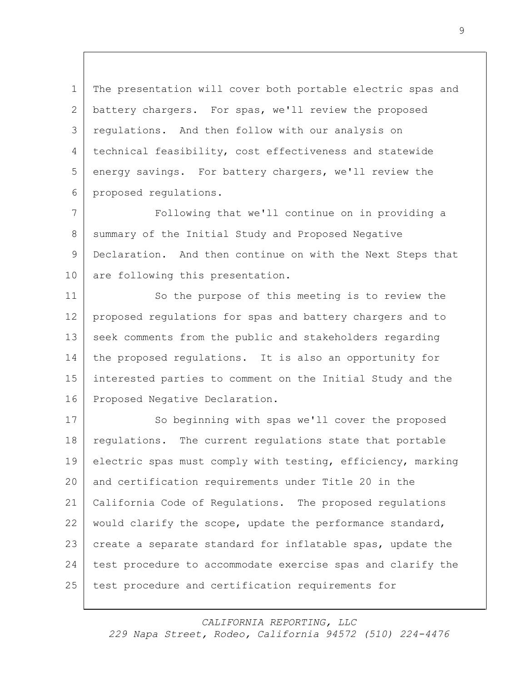1 The presentation will cover both portable electric spas and 2 battery chargers. For spas, we'll review the proposed 3 regulations. And then follow with our analysis on 4 technical feasibility, cost effectiveness and statewide 5 energy savings. For battery chargers, we'll review the 6 proposed regulations.

7 Following that we'll continue on in providing a 8 Summary of the Initial Study and Proposed Negative 9 Declaration. And then continue on with the Next Steps that 10 are following this presentation.

11 So the purpose of this meeting is to review the proposed regulations for spas and battery chargers and to seek comments from the public and stakeholders regarding the proposed regulations. It is also an opportunity for interested parties to comment on the Initial Study and the 16 Proposed Negative Declaration.

17 So beginning with spas we'll cover the proposed 18 regulations. The current regulations state that portable electric spas must comply with testing, efficiency, marking and certification requirements under Title 20 in the California Code of Regulations. The proposed regulations would clarify the scope, update the performance standard, create a separate standard for inflatable spas, update the 24 test procedure to accommodate exercise spas and clarify the test procedure and certification requirements for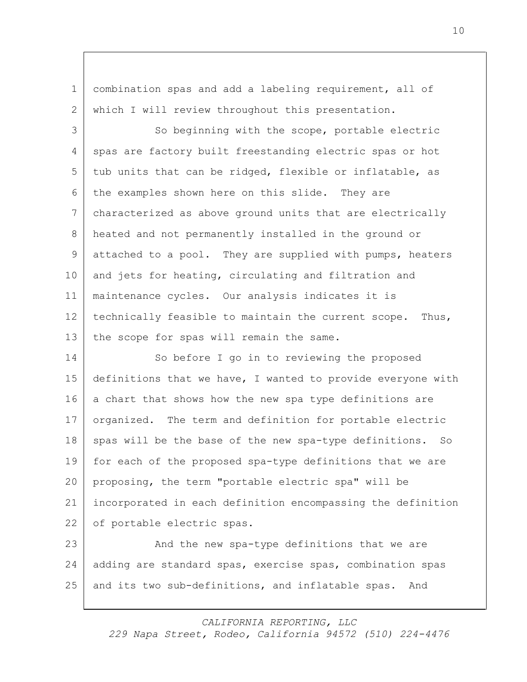1 combination spas and add a labeling requirement, all of 2 which I will review throughout this presentation.

3 So beginning with the scope, portable electric 4 spas are factory built freestanding electric spas or hot 5 tub units that can be ridged, flexible or inflatable, as 6 the examples shown here on this slide. They are 7 characterized as above ground units that are electrically 8 heated and not permanently installed in the ground or 9 attached to a pool. They are supplied with pumps, heaters 10 and jets for heating, circulating and filtration and 11 maintenance cycles. Our analysis indicates it is 12 technically feasible to maintain the current scope. Thus, 13 the scope for spas will remain the same.

14 So before I go in to reviewing the proposed 15 definitions that we have, I wanted to provide everyone with 16 a chart that shows how the new spa type definitions are 17 organized. The term and definition for portable electric 18 spas will be the base of the new spa-type definitions. So 19 for each of the proposed spa-type definitions that we are 20 proposing, the term "portable electric spa" will be 21 incorporated in each definition encompassing the definition 22 of portable electric spas.

23 And the new spa-type definitions that we are 24 adding are standard spas, exercise spas, combination spas 25 and its two sub-definitions, and inflatable spas. And

*CALIFORNIA REPORTING, LLC*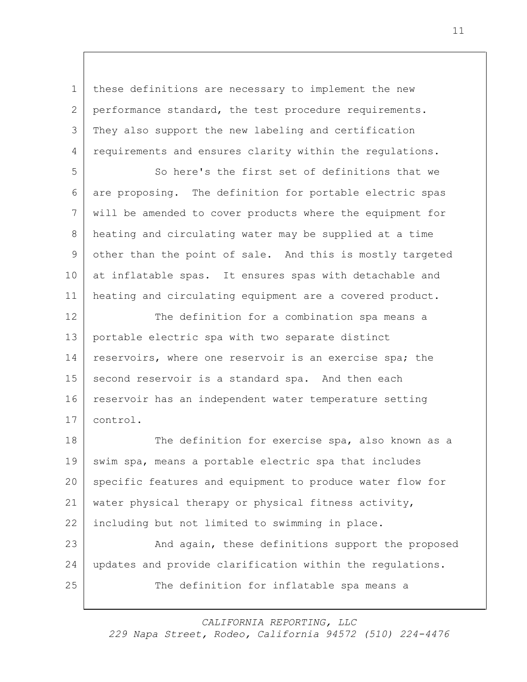1 | these definitions are necessary to implement the new 2 performance standard, the test procedure requirements. 3 They also support the new labeling and certification 4 requirements and ensures clarity within the regulations.

 So here's the first set of definitions that we are proposing. The definition for portable electric spas will be amended to cover products where the equipment for heating and circulating water may be supplied at a time other than the point of sale. And this is mostly targeted at inflatable spas. It ensures spas with detachable and heating and circulating equipment are a covered product.

12 The definition for a combination spa means a 13 portable electric spa with two separate distinct 14 | reservoirs, where one reservoir is an exercise spa; the 15 second reservoir is a standard spa. And then each 16 reservoir has an independent water temperature setting 17 control.

18 The definition for exercise spa, also known as a 19 swim spa, means a portable electric spa that includes 20 specific features and equipment to produce water flow for 21 water physical therapy or physical fitness activity, 22 | including but not limited to swimming in place. 23 And again, these definitions support the proposed

24 updates and provide clarification within the regulations. 25 The definition for inflatable spa means a

*CALIFORNIA REPORTING, LLC*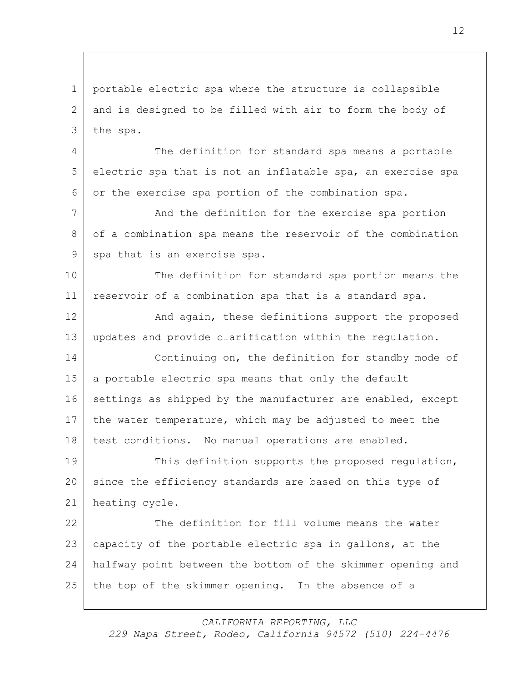1 portable electric spa where the structure is collapsible 2 and is designed to be filled with air to form the body of 3 the spa.

4 The definition for standard spa means a portable 5 electric spa that is not an inflatable spa, an exercise spa 6 or the exercise spa portion of the combination spa.

7 And the definition for the exercise spa portion 8 of a combination spa means the reservoir of the combination 9 spa that is an exercise spa.

10 The definition for standard spa portion means the 11 reservoir of a combination spa that is a standard spa.

12 And again, these definitions support the proposed 13 updates and provide clarification within the regulation.

14 Continuing on, the definition for standby mode of 15 a portable electric spa means that only the default 16 settings as shipped by the manufacturer are enabled, except 17 the water temperature, which may be adjusted to meet the 18 | test conditions. No manual operations are enabled.

19 This definition supports the proposed regulation, 20 since the efficiency standards are based on this type of 21 heating cycle.

22 The definition for fill volume means the water capacity of the portable electric spa in gallons, at the halfway point between the bottom of the skimmer opening and the top of the skimmer opening. In the absence of a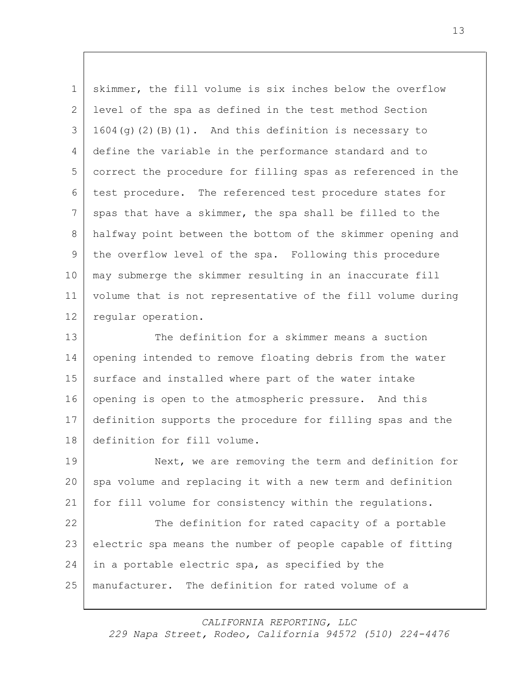skimmer, the fill volume is six inches below the overflow level of the spa as defined in the test method Section  $3 \mid 1604$ (g)(2)(B)(1). And this definition is necessary to define the variable in the performance standard and to correct the procedure for filling spas as referenced in the test procedure. The referenced test procedure states for 7 spas that have a skimmer, the spa shall be filled to the halfway point between the bottom of the skimmer opening and the overflow level of the spa. Following this procedure may submerge the skimmer resulting in an inaccurate fill volume that is not representative of the fill volume during 12 | regular operation.

13 The definition for a skimmer means a suction 14 opening intended to remove floating debris from the water 15 surface and installed where part of the water intake opening is open to the atmospheric pressure. And this definition supports the procedure for filling spas and the definition for fill volume.

 Next, we are removing the term and definition for 20 spa volume and replacing it with a new term and definition for fill volume for consistency within the regulations.

22 The definition for rated capacity of a portable electric spa means the number of people capable of fitting 24 in a portable electric spa, as specified by the manufacturer. The definition for rated volume of a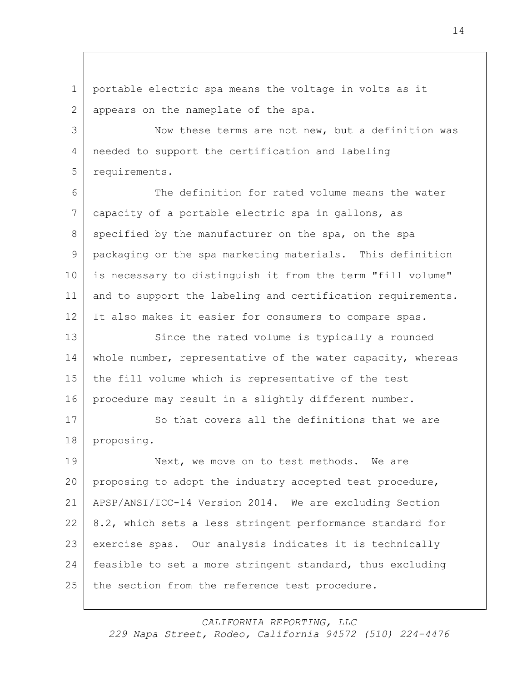1 portable electric spa means the voltage in volts as it 2 appears on the nameplate of the spa.

3 Now these terms are not new, but a definition was 4 | needed to support the certification and labeling 5 requirements.

6 The definition for rated volume means the water 7 capacity of a portable electric spa in gallons, as 8 specified by the manufacturer on the spa, on the spa 9 | packaging or the spa marketing materials. This definition 10 is necessary to distinguish it from the term "fill volume" 11 and to support the labeling and certification requirements. 12 It also makes it easier for consumers to compare spas.

13 Since the rated volume is typically a rounded 14 whole number, representative of the water capacity, whereas 15 the fill volume which is representative of the test 16 procedure may result in a slightly different number.

17 So that covers all the definitions that we are 18 proposing.

19 Next, we move on to test methods. We are proposing to adopt the industry accepted test procedure, APSP/ANSI/ICC-14 Version 2014. We are excluding Section 8.2, which sets a less stringent performance standard for exercise spas. Our analysis indicates it is technically feasible to set a more stringent standard, thus excluding 25 the section from the reference test procedure.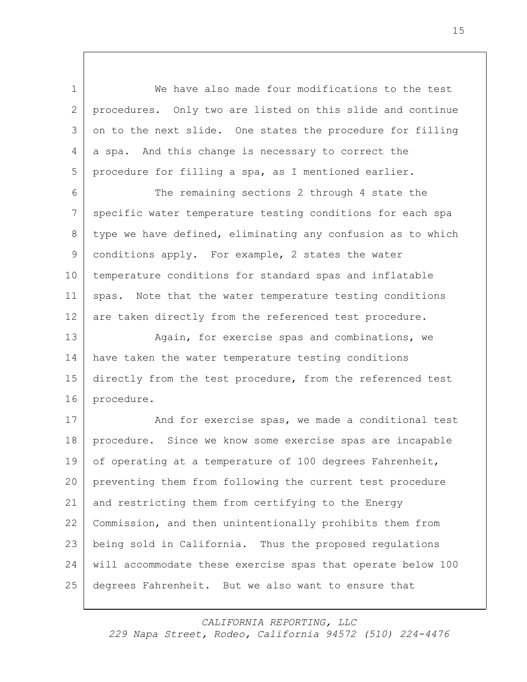We have also made four modifications to the test procedures. Only two are listed on this slide and continue 3 on to the next slide. One states the procedure for filling 4 a spa. And this change is necessary to correct the procedure for filling a spa, as I mentioned earlier.

 The remaining sections 2 through 4 state the 7 specific water temperature testing conditions for each spa 8 type we have defined, eliminating any confusion as to which conditions apply. For example, 2 states the water temperature conditions for standard spas and inflatable spas. Note that the water temperature testing conditions are taken directly from the referenced test procedure.

13 Again, for exercise spas and combinations, we have taken the water temperature testing conditions 15 directly from the test procedure, from the referenced test procedure.

17 And for exercise spas, we made a conditional test procedure. Since we know some exercise spas are incapable 19 of operating at a temperature of 100 degrees Fahrenheit, preventing them from following the current test procedure and restricting them from certifying to the Energy Commission, and then unintentionally prohibits them from being sold in California. Thus the proposed regulations will accommodate these exercise spas that operate below 100 degrees Fahrenheit. But we also want to ensure that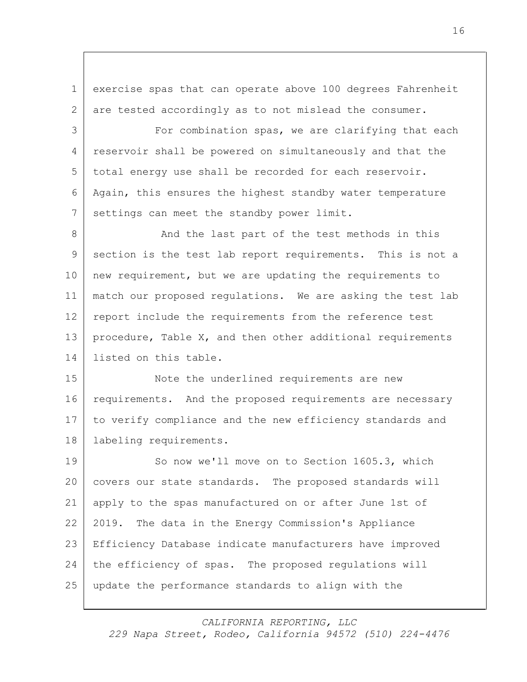1 exercise spas that can operate above 100 degrees Fahrenheit 2 are tested accordingly as to not mislead the consumer.

3 For combination spas, we are clarifying that each reservoir shall be powered on simultaneously and that the total energy use shall be recorded for each reservoir. Again, this ensures the highest standby water temperature 7 settings can meet the standby power limit.

8 And the last part of the test methods in this section is the test lab report requirements. This is not a new requirement, but we are updating the requirements to match our proposed regulations. We are asking the test lab report include the requirements from the reference test procedure, Table X, and then other additional requirements listed on this table.

15 Note the underlined requirements are new 16 requirements. And the proposed requirements are necessary to verify compliance and the new efficiency standards and 18 | labeling requirements.

19 So now we'll move on to Section 1605.3, which covers our state standards. The proposed standards will apply to the spas manufactured on or after June 1st of 2019. The data in the Energy Commission's Appliance Efficiency Database indicate manufacturers have improved the efficiency of spas. The proposed regulations will update the performance standards to align with the

*CALIFORNIA REPORTING, LLC*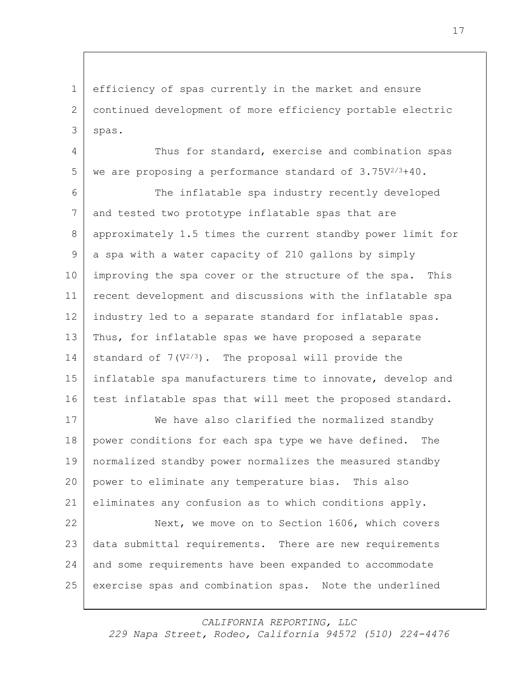efficiency of spas currently in the market and ensure continued development of more efficiency portable electric spas.

4 Thus for standard, exercise and combination spas we are proposing a performance standard of  $3.75V^{2/3}+40$ .

 The inflatable spa industry recently developed 7 and tested two prototype inflatable spas that are approximately 1.5 times the current standby power limit for a spa with a water capacity of 210 gallons by simply improving the spa cover or the structure of the spa. This recent development and discussions with the inflatable spa industry led to a separate standard for inflatable spas. Thus, for inflatable spas we have proposed a separate 14 standard of  $7(V^{2/3})$ . The proposal will provide the 15 inflatable spa manufacturers time to innovate, develop and 16 test inflatable spas that will meet the proposed standard.

 We have also clarified the normalized standby 18 | power conditions for each spa type we have defined. The normalized standby power normalizes the measured standby power to eliminate any temperature bias. This also eliminates any confusion as to which conditions apply.

22 Next, we move on to Section 1606, which covers 23 data submittal requirements. There are new requirements and some requirements have been expanded to accommodate exercise spas and combination spas. Note the underlined

*CALIFORNIA REPORTING, LLC*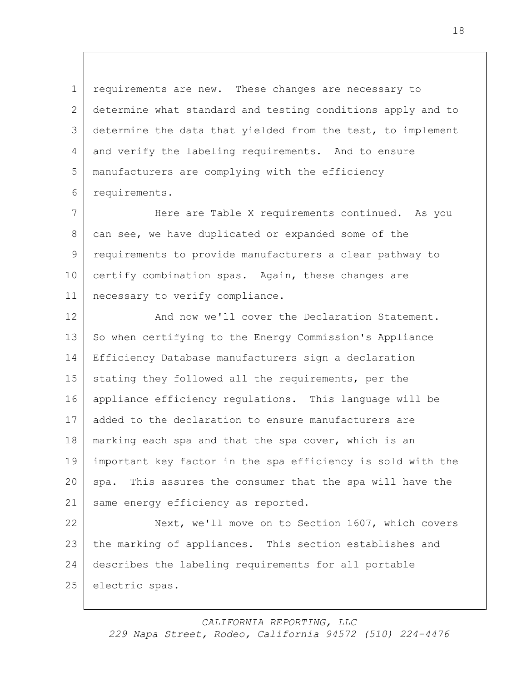1 requirements are new. These changes are necessary to 2 determine what standard and testing conditions apply and to 3 determine the data that yielded from the test, to implement 4 and verify the labeling requirements. And to ensure 5 manufacturers are complying with the efficiency 6 requirements.

 Here are Table X requirements continued. As you can see, we have duplicated or expanded some of the requirements to provide manufacturers a clear pathway to 10 certify combination spas. Again, these changes are necessary to verify compliance.

12 And now we'll cover the Declaration Statement. 13 So when certifying to the Energy Commission's Appliance 14 Efficiency Database manufacturers sign a declaration 15 stating they followed all the requirements, per the 16 appliance efficiency regulations. This language will be 17 added to the declaration to ensure manufacturers are 18 | marking each spa and that the spa cover, which is an 19 important key factor in the spa efficiency is sold with the 20 spa. This assures the consumer that the spa will have the 21 same energy efficiency as reported.

22 Next, we'll move on to Section 1607, which covers 23 the marking of appliances. This section establishes and 24 describes the labeling requirements for all portable 25 electric spas.

*CALIFORNIA REPORTING, LLC*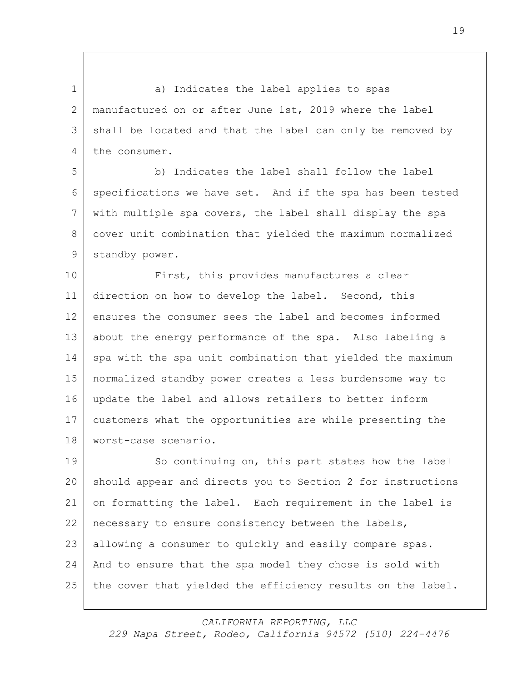1 a) Indicates the label applies to spas manufactured on or after June 1st, 2019 where the label shall be located and that the label can only be removed by 4 the consumer.

 b) Indicates the label shall follow the label specifications we have set. And if the spa has been tested with multiple spa covers, the label shall display the spa cover unit combination that yielded the maximum normalized 9 standby power.

10 First, this provides manufactures a clear direction on how to develop the label. Second, this ensures the consumer sees the label and becomes informed about the energy performance of the spa. Also labeling a 14 spa with the spa unit combination that yielded the maximum normalized standby power creates a less burdensome way to update the label and allows retailers to better inform customers what the opportunities are while presenting the worst-case scenario.

19 So continuing on, this part states how the label should appear and directs you to Section 2 for instructions on formatting the label. Each requirement in the label is necessary to ensure consistency between the labels, 23 | allowing a consumer to quickly and easily compare spas. And to ensure that the spa model they chose is sold with 25 the cover that yielded the efficiency results on the label.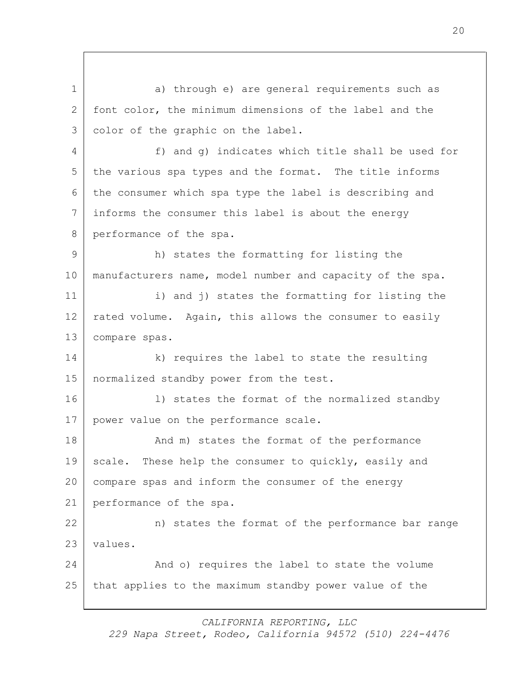1 a) through e) are general requirements such as 2 font color, the minimum dimensions of the label and the 3 color of the graphic on the label. 4 f) and g) indicates which title shall be used for 5 the various spa types and the format. The title informs 6 the consumer which spa type the label is describing and 7 informs the consumer this label is about the energy 8 performance of the spa. 9 h) states the formatting for listing the 10 manufacturers name, model number and capacity of the spa. 11 i) and j) states the formatting for listing the 12 rated volume. Again, this allows the consumer to easily 13 compare spas. 14 k) requires the label to state the resulting 15 | normalized standby power from the test. 16 | I) states the format of the normalized standby 17 power value on the performance scale. 18 And m) states the format of the performance 19 scale. These help the consumer to quickly, easily and 20 compare spas and inform the consumer of the energy 21 performance of the spa. 22 n) states the format of the performance bar range 23 values. 24 And o) requires the label to state the volume 25 that applies to the maximum standby power value of the

*CALIFORNIA REPORTING, LLC*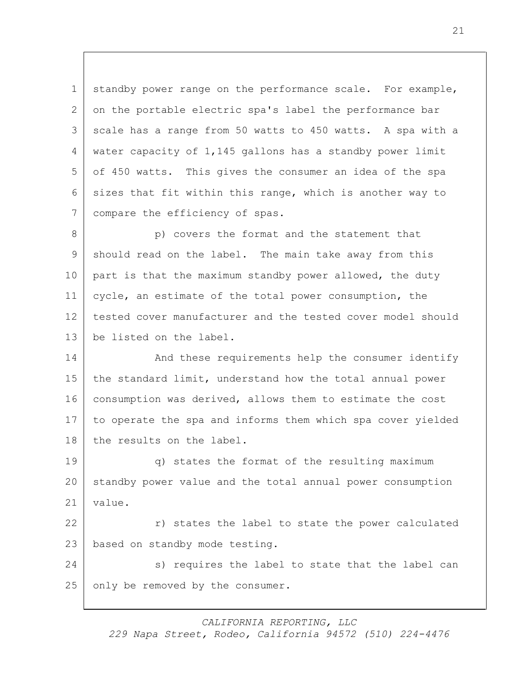1 standby power range on the performance scale. For example, 2 on the portable electric spa's label the performance bar 3 scale has a range from 50 watts to 450 watts. A spa with a 4 water capacity of 1,145 gallons has a standby power limit 5 of 450 watts. This gives the consumer an idea of the spa 6 sizes that fit within this range, which is another way to 7 compare the efficiency of spas.

8 p) covers the format and the statement that 9 should read on the label. The main take away from this 10 | part is that the maximum standby power allowed, the duty 11 cycle, an estimate of the total power consumption, the 12 tested cover manufacturer and the tested cover model should 13 be listed on the label.

14 And these requirements help the consumer identify 15 the standard limit, understand how the total annual power 16 consumption was derived, allows them to estimate the cost 17 to operate the spa and informs them which spa cover yielded 18 the results on the label.

19 q) states the format of the resulting maximum 20 standby power value and the total annual power consumption 21 | value.

22 r) states the label to state the power calculated 23 | based on standby mode testing.

24 s) requires the label to state that the label can 25 only be removed by the consumer.

*CALIFORNIA REPORTING, LLC*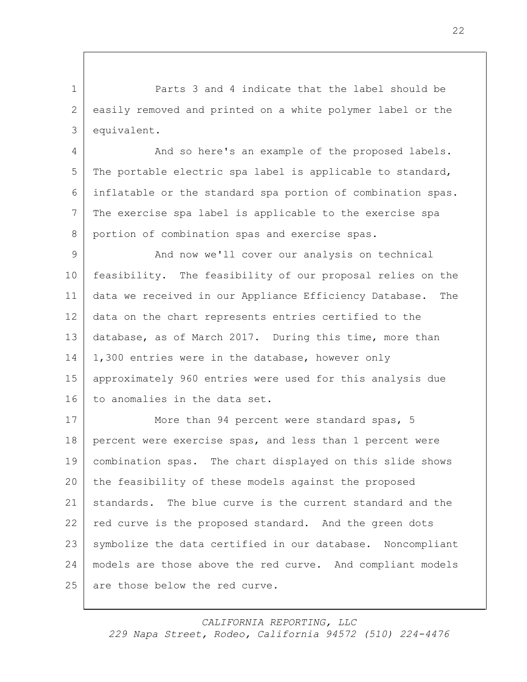1 Parts 3 and 4 indicate that the label should be 2 easily removed and printed on a white polymer label or the 3 equivalent.

4 And so here's an example of the proposed labels. 5 The portable electric spa label is applicable to standard, 6 inflatable or the standard spa portion of combination spas. 7 The exercise spa label is applicable to the exercise spa 8 portion of combination spas and exercise spas.

 And now we'll cover our analysis on technical feasibility. The feasibility of our proposal relies on the data we received in our Appliance Efficiency Database. The data on the chart represents entries certified to the database, as of March 2017. During this time, more than 14 1,300 entries were in the database, however only approximately 960 entries were used for this analysis due 16 to anomalies in the data set.

17 More than 94 percent were standard spas, 5 18 percent were exercise spas, and less than 1 percent were 19 combination spas. The chart displayed on this slide shows 20 the feasibility of these models against the proposed 21 standards. The blue curve is the current standard and the 22 red curve is the proposed standard. And the green dots 23 | symbolize the data certified in our database. Noncompliant 24 models are those above the red curve. And compliant models 25 are those below the red curve.

22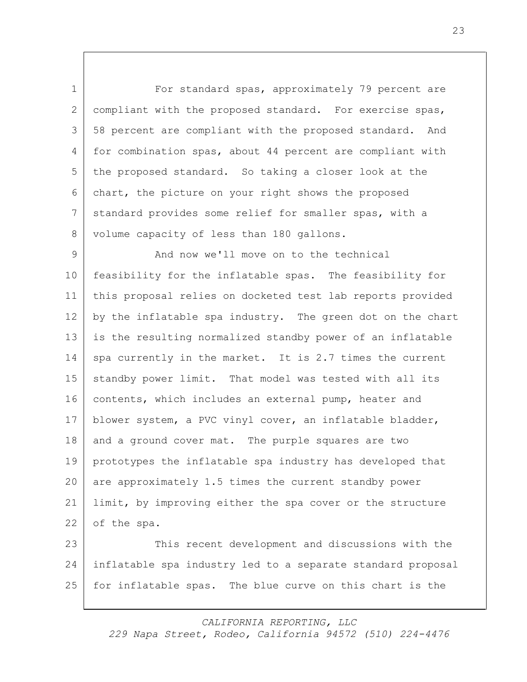1 For standard spas, approximately 79 percent are 2 compliant with the proposed standard. For exercise spas, 3 58 percent are compliant with the proposed standard. And 4 for combination spas, about 44 percent are compliant with 5 the proposed standard. So taking a closer look at the 6 chart, the picture on your right shows the proposed 7 standard provides some relief for smaller spas, with a 8 volume capacity of less than 180 gallons.

9 And now we'll move on to the technical 10 feasibility for the inflatable spas. The feasibility for 11 this proposal relies on docketed test lab reports provided 12 by the inflatable spa industry. The green dot on the chart 13 is the resulting normalized standby power of an inflatable 14 spa currently in the market. It is 2.7 times the current 15 standby power limit. That model was tested with all its 16 contents, which includes an external pump, heater and 17 blower system, a PVC vinyl cover, an inflatable bladder, 18 and a ground cover mat. The purple squares are two 19 prototypes the inflatable spa industry has developed that 20 are approximately 1.5 times the current standby power 21 limit, by improving either the spa cover or the structure 22 of the spa.

23 This recent development and discussions with the 24 inflatable spa industry led to a separate standard proposal 25 for inflatable spas. The blue curve on this chart is the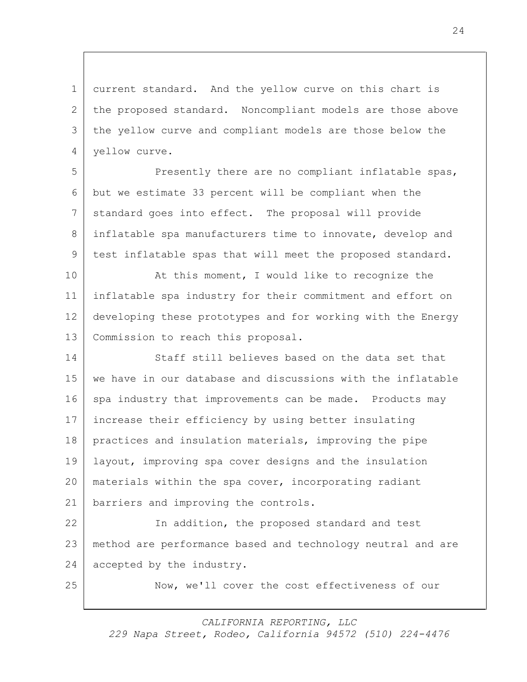1 current standard. And the yellow curve on this chart is the proposed standard. Noncompliant models are those above the yellow curve and compliant models are those below the yellow curve.

 Presently there are no compliant inflatable spas, but we estimate 33 percent will be compliant when the standard goes into effect. The proposal will provide inflatable spa manufacturers time to innovate, develop and test inflatable spas that will meet the proposed standard.

10 At this moment, I would like to recognize the inflatable spa industry for their commitment and effort on developing these prototypes and for working with the Energy 13 Commission to reach this proposal.

14 Staff still believes based on the data set that we have in our database and discussions with the inflatable 16 spa industry that improvements can be made. Products may increase their efficiency by using better insulating practices and insulation materials, improving the pipe layout, improving spa cover designs and the insulation materials within the spa cover, incorporating radiant barriers and improving the controls.

 In addition, the proposed standard and test method are performance based and technology neutral and are 24 accepted by the industry.

Now, we'll cover the cost effectiveness of our

*CALIFORNIA REPORTING, LLC*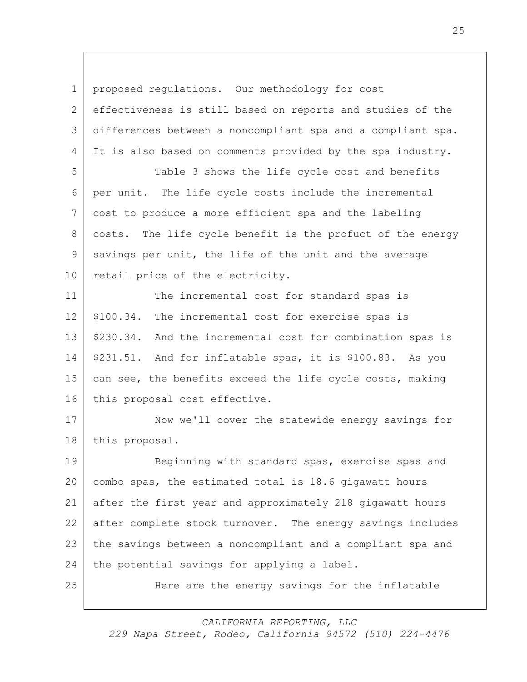1 proposed regulations. Our methodology for cost 2 effectiveness is still based on reports and studies of the 3 differences between a noncompliant spa and a compliant spa. 4 It is also based on comments provided by the spa industry. 5 Table 3 shows the life cycle cost and benefits 6 per unit. The life cycle costs include the incremental 7 cost to produce a more efficient spa and the labeling 8 costs. The life cycle benefit is the profuct of the energy 9 savings per unit, the life of the unit and the average 10 retail price of the electricity. 11 The incremental cost for standard spas is 12 | \$100.34. The incremental cost for exercise spas is 13 | \$230.34. And the incremental cost for combination spas is 14 \$231.51. And for inflatable spas, it is \$100.83. As you 15 can see, the benefits exceed the life cycle costs, making 16 this proposal cost effective. 17 | Now we'll cover the statewide energy savings for 18 this proposal. 19 Beginning with standard spas, exercise spas and 20 combo spas, the estimated total is 18.6 gigawatt hours 21 after the first year and approximately 218 gigawatt hours 22 after complete stock turnover. The energy savings includes 23 the savings between a noncompliant and a compliant spa and 24 the potential savings for applying a label. 25 Here are the energy savings for the inflatable

*CALIFORNIA REPORTING, LLC*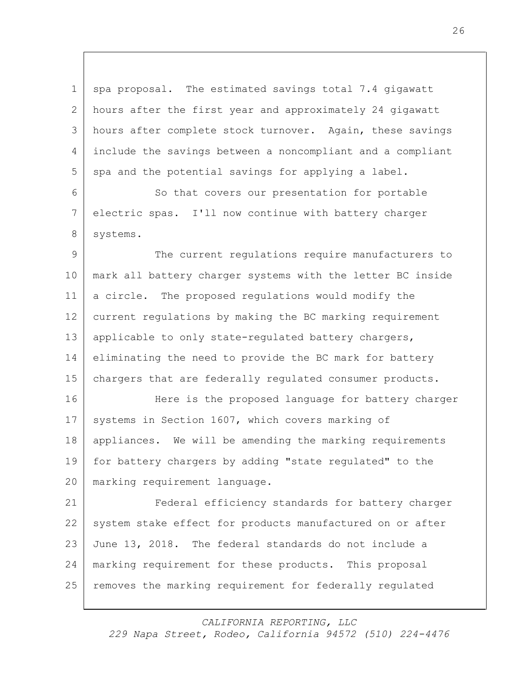1 spa proposal. The estimated savings total 7.4 gigawatt hours after the first year and approximately 24 gigawatt hours after complete stock turnover. Again, these savings include the savings between a noncompliant and a compliant spa and the potential savings for applying a label.

6 So that covers our presentation for portable 7 electric spas. I'll now continue with battery charger 8 systems.

9 The current regulations require manufacturers to 10 mark all battery charger systems with the letter BC inside 11 a circle. The proposed regulations would modify the 12 current regulations by making the BC marking requirement 13 | applicable to only state-regulated battery chargers, 14 eliminating the need to provide the BC mark for battery 15 | chargers that are federally regulated consumer products. 16 Here is the proposed language for battery charger

17 systems in Section 1607, which covers marking of appliances. We will be amending the marking requirements for battery chargers by adding "state regulated" to the marking requirement language.

21 Federal efficiency standards for battery charger 22 system stake effect for products manufactured on or after 23 June 13, 2018. The federal standards do not include a 24 marking requirement for these products. This proposal 25 | removes the marking requirement for federally regulated

*CALIFORNIA REPORTING, LLC*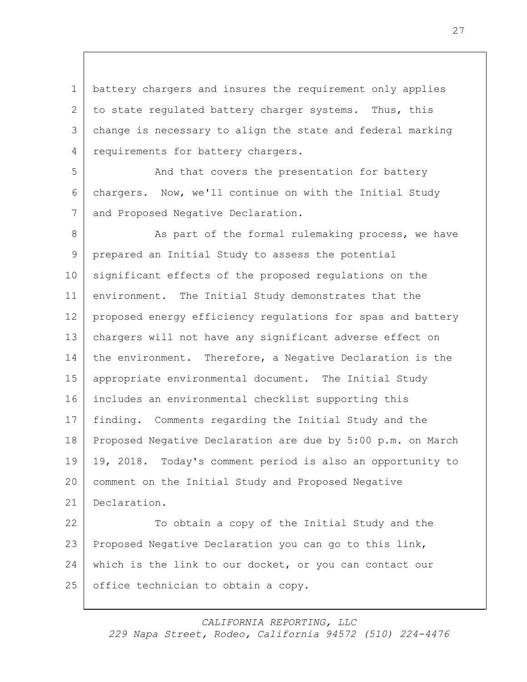battery chargers and insures the requirement only applies 2 to state regulated battery charger systems. Thus, this change is necessary to align the state and federal marking 4 requirements for battery chargers.

 And that covers the presentation for battery chargers. Now, we'll continue on with the Initial Study 7 and Proposed Negative Declaration.

8 As part of the formal rulemaking process, we have prepared an Initial Study to assess the potential significant effects of the proposed regulations on the environment. The Initial Study demonstrates that the 12 proposed energy efficiency regulations for spas and battery chargers will not have any significant adverse effect on 14 the environment. Therefore, a Negative Declaration is the appropriate environmental document. The Initial Study includes an environmental checklist supporting this finding. Comments regarding the Initial Study and the Proposed Negative Declaration are due by 5:00 p.m. on March 19, 2018. Today's comment period is also an opportunity to comment on the Initial Study and Proposed Negative Declaration. 22 To obtain a copy of the Initial Study and the

 Proposed Negative Declaration you can go to this link, 24 which is the link to our docket, or you can contact our 25 office technician to obtain a copy.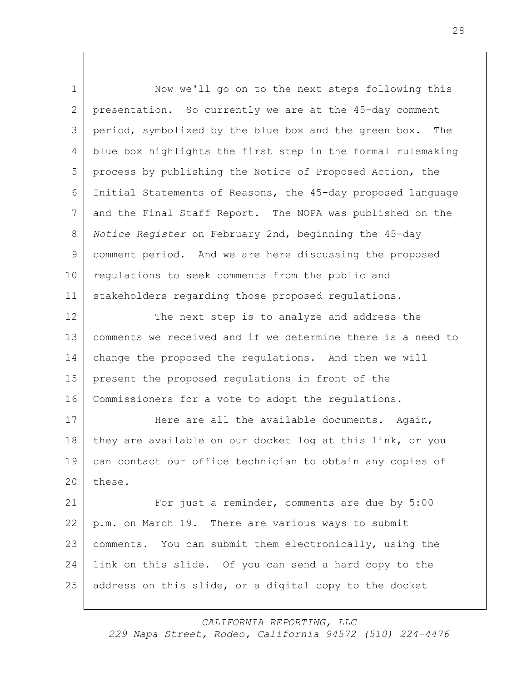1 Now we'll go on to the next steps following this presentation. So currently we are at the 45-day comment period, symbolized by the blue box and the green box. The blue box highlights the first step in the formal rulemaking process by publishing the Notice of Proposed Action, the Initial Statements of Reasons, the 45-day proposed language and the Final Staff Report. The NOPA was published on the *Notice Register* on February 2nd, beginning the 45-day comment period. And we are here discussing the proposed 10 | regulations to seek comments from the public and stakeholders regarding those proposed regulations. 12 The next step is to analyze and address the comments we received and if we determine there is a need to change the proposed the regulations. And then we will present the proposed regulations in front of the Commissioners for a vote to adopt the regulations. 17 Here are all the available documents. Again, 18 they are available on our docket log at this link, or you can contact our office technician to obtain any copies of 20 | these. For just a reminder, comments are due by 5:00 p.m. on March 19. There are various ways to submit comments. You can submit them electronically, using the link on this slide. Of you can send a hard copy to the address on this slide, or a digital copy to the docket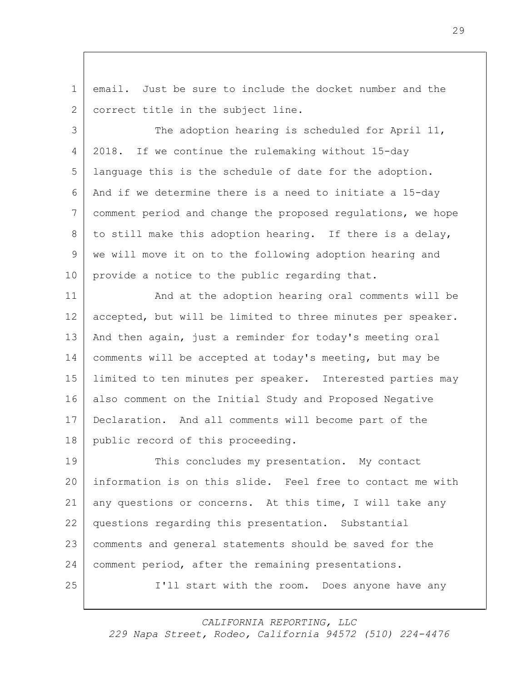1 email. Just be sure to include the docket number and the 2 | correct title in the subject line.

3 The adoption hearing is scheduled for April 11, 2018. If we continue the rulemaking without 15-day language this is the schedule of date for the adoption. And if we determine there is a need to initiate a 15-day comment period and change the proposed regulations, we hope 8 to still make this adoption hearing. If there is a delay, we will move it on to the following adoption hearing and 10 provide a notice to the public regarding that.

11 | And at the adoption hearing oral comments will be 12 accepted, but will be limited to three minutes per speaker. 13 And then again, just a reminder for today's meeting oral 14 comments will be accepted at today's meeting, but may be 15 limited to ten minutes per speaker. Interested parties may 16 also comment on the Initial Study and Proposed Negative 17 Declaration. And all comments will become part of the 18 public record of this proceeding.

19 This concludes my presentation. My contact 20 information is on this slide. Feel free to contact me with any questions or concerns. At this time, I will take any questions regarding this presentation. Substantial comments and general statements should be saved for the comment period, after the remaining presentations. I'll start with the room. Does anyone have any

*CALIFORNIA REPORTING, LLC*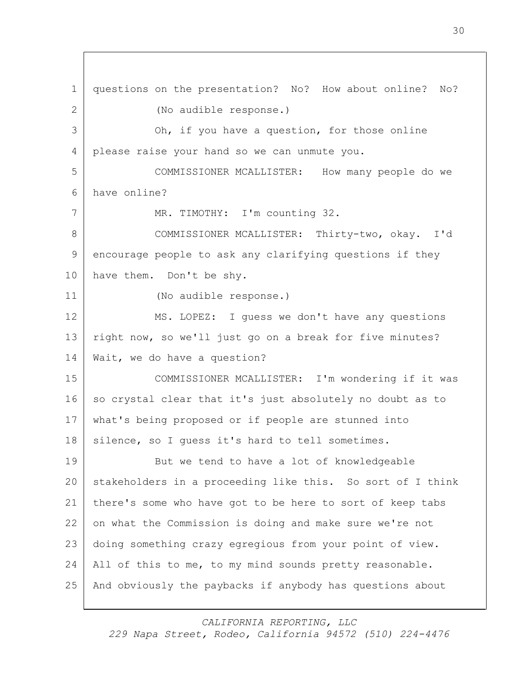questions on the presentation? No? How about online? No? (No audible response.) Oh, if you have a question, for those online please raise your hand so we can unmute you. COMMISSIONER MCALLISTER: How many people do we have online? 7 MR. TIMOTHY: I'm counting 32. COMMISSIONER MCALLISTER: Thirty-two, okay. I'd encourage people to ask any clarifying questions if they 10 have them. Don't be shy. (No audible response.) MS. LOPEZ: I guess we don't have any questions right now, so we'll just go on a break for five minutes? Wait, we do have a question? COMMISSIONER MCALLISTER: I'm wondering if it was 16 | so crystal clear that it's just absolutely no doubt as to what's being proposed or if people are stunned into 18 silence, so I quess it's hard to tell sometimes. 19 But we tend to have a lot of knowledgeable 20 | stakeholders in a proceeding like this. So sort of I think there's some who have got to be here to sort of keep tabs on what the Commission is doing and make sure we're not doing something crazy egregious from your point of view. 24 All of this to me, to my mind sounds pretty reasonable. And obviously the paybacks if anybody has questions about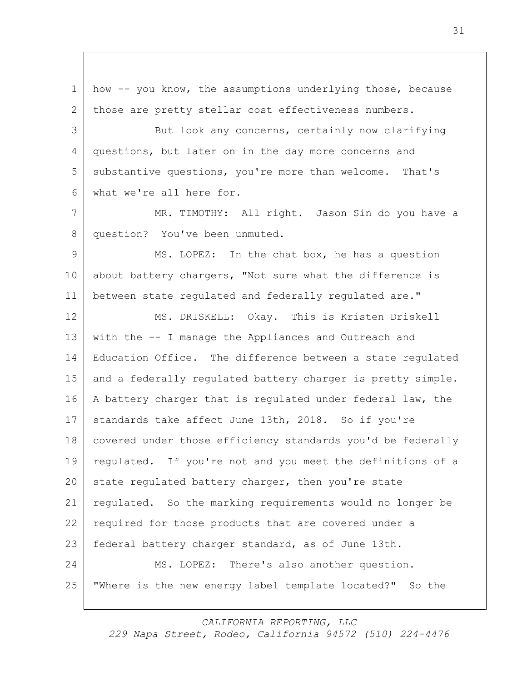1 how -- you know, the assumptions underlying those, because 2 those are pretty stellar cost effectiveness numbers. 3 But look any concerns, certainly now clarifying 4 questions, but later on in the day more concerns and 5 substantive questions, you're more than welcome. That's 6 what we're all here for. 7 MR. TIMOTHY: All right. Jason Sin do you have a 8 question? You've been unmuted. 9 MS. LOPEZ: In the chat box, he has a question 10 about battery chargers, "Not sure what the difference is 11 between state regulated and federally regulated are." 12 MS. DRISKELL: Okay. This is Kristen Driskell 13 with the -- I manage the Appliances and Outreach and 14 Education Office. The difference between a state regulated 15 and a federally regulated battery charger is pretty simple. 16 | A battery charger that is regulated under federal law, the 17 standards take affect June 13th, 2018. So if you're 18 | covered under those efficiency standards you'd be federally 19 regulated. If you're not and you meet the definitions of a 20 state regulated battery charger, then you're state 21 regulated. So the marking requirements would no longer be 22 required for those products that are covered under a 23 federal battery charger standard, as of June 13th. 24 MS. LOPEZ: There's also another question. 25 "Where is the new energy label template located?" So the

*CALIFORNIA REPORTING, LLC*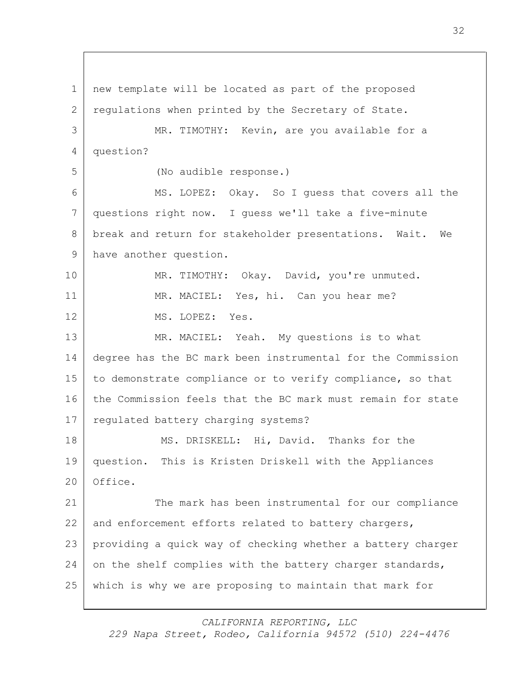1 new template will be located as part of the proposed 2 requiations when printed by the Secretary of State. 3 MR. TIMOTHY: Kevin, are you available for a 4 question? 5 (No audible response.) 6 MS. LOPEZ: Okay. So I guess that covers all the 7 questions right now. I guess we'll take a five-minute 8 break and return for stakeholder presentations. Wait. We 9 have another question. 10 MR. TIMOTHY: Okay. David, you're unmuted. 11 MR. MACIEL: Yes, hi. Can you hear me? 12 MS. LOPEZ: Yes. 13 MR. MACIEL: Yeah. My questions is to what 14 degree has the BC mark been instrumental for the Commission 15 to demonstrate compliance or to verify compliance, so that 16 the Commission feels that the BC mark must remain for state 17 regulated battery charging systems? 18 MS. DRISKELL: Hi, David. Thanks for the 19 question. This is Kristen Driskell with the Appliances 20 | Office. 21 The mark has been instrumental for our compliance 22 and enforcement efforts related to battery chargers, 23 providing a quick way of checking whether a battery charger 24 on the shelf complies with the battery charger standards, 25 which is why we are proposing to maintain that mark for

*CALIFORNIA REPORTING, LLC*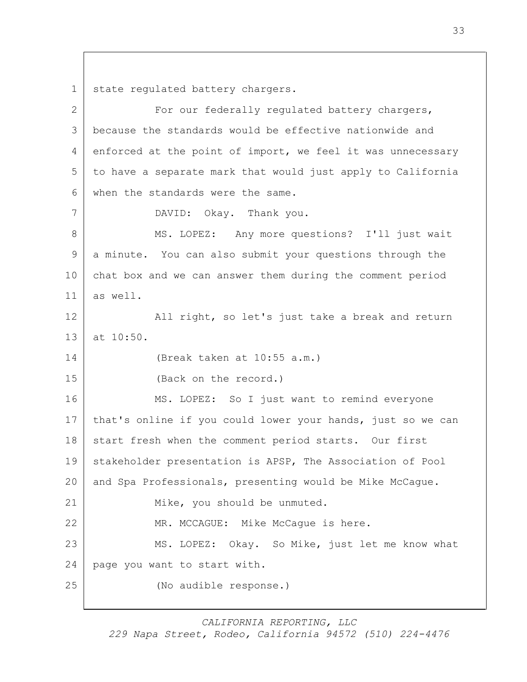1 | state regulated battery chargers.

2 For our federally requiated battery chargers, 3 because the standards would be effective nationwide and 4 enforced at the point of import, we feel it was unnecessary 5 to have a separate mark that would just apply to California 6 when the standards were the same. 7 DAVID: Okay. Thank you. 8 MS. LOPEZ: Any more questions? I'll just wait 9 a minute. You can also submit your questions through the 10 chat box and we can answer them during the comment period 11 as well. 12 | All right, so let's just take a break and return 13 at 10:50. 14 (Break taken at 10:55 a.m.) 15 (Back on the record.) 16 MS. LOPEZ: So I just want to remind everyone 17 | that's online if you could lower your hands, just so we can 18 start fresh when the comment period starts. Our first 19 stakeholder presentation is APSP, The Association of Pool 20 and Spa Professionals, presenting would be Mike McCague. 21 Mike, you should be unmuted. 22 MR. MCCAGUE: Mike McCaque is here. 23 MS. LOPEZ: Okay. So Mike, just let me know what 24 page you want to start with. 25 (No audible response.)

*CALIFORNIA REPORTING, LLC*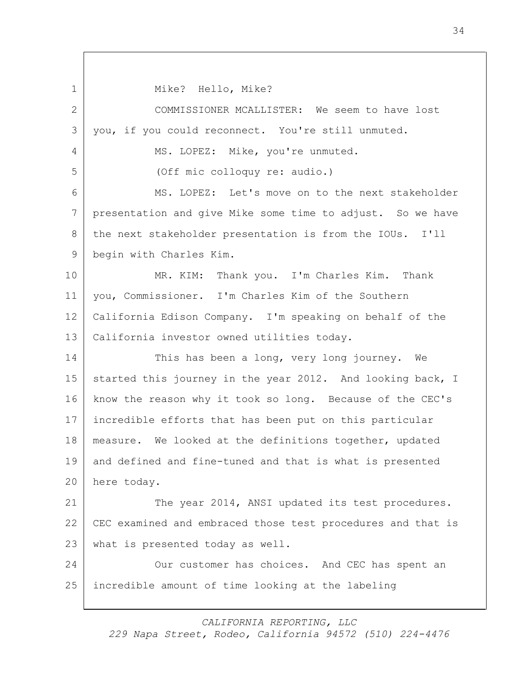1 | Mike? Hello, Mike?

 COMMISSIONER MCALLISTER: We seem to have lost you, if you could reconnect. You're still unmuted. 4 MS. LOPEZ: Mike, you're unmuted. (Off mic colloquy re: audio.) MS. LOPEZ: Let's move on to the next stakeholder presentation and give Mike some time to adjust. So we have 8 the next stakeholder presentation is from the IOUs. I'll 9 begin with Charles Kim. MR. KIM: Thank you. I'm Charles Kim. Thank you, Commissioner. I'm Charles Kim of the Southern California Edison Company. I'm speaking on behalf of the California investor owned utilities today. This has been a long, very long journey. We 15 started this journey in the year 2012. And looking back, I know the reason why it took so long. Because of the CEC's incredible efforts that has been put on this particular 18 | measure. We looked at the definitions together, updated and defined and fine-tuned and that is what is presented here today. 21 The year 2014, ANSI updated its test procedures. CEC examined and embraced those test procedures and that is what is presented today as well. 24 Our customer has choices. And CEC has spent an incredible amount of time looking at the labeling

*CALIFORNIA REPORTING, LLC*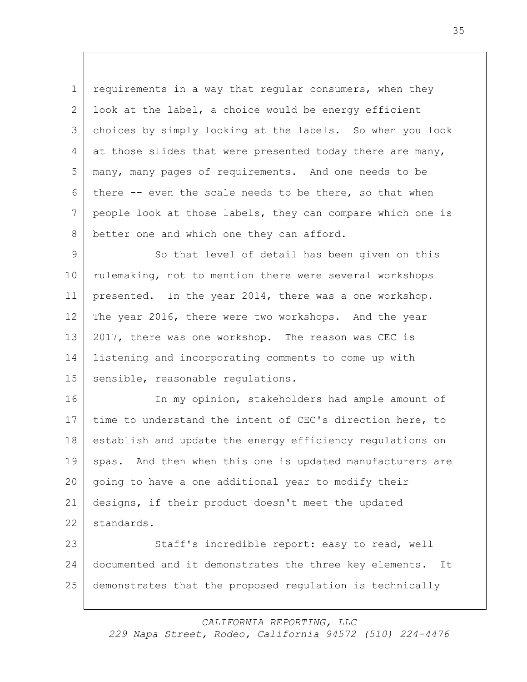1 requirements in a way that regular consumers, when they 2 look at the label, a choice would be energy efficient 3 choices by simply looking at the labels. So when you look 4 at those slides that were presented today there are many, 5 many, many pages of requirements. And one needs to be 6 there  $-$ - even the scale needs to be there, so that when 7 people look at those labels, they can compare which one is 8 better one and which one they can afford.

9 So that level of detail has been given on this 10 | rulemaking, not to mention there were several workshops 11 presented. In the year 2014, there was a one workshop. 12 The year 2016, there were two workshops. And the year 13 2017, there was one workshop. The reason was CEC is 14 listening and incorporating comments to come up with 15 sensible, reasonable regulations.

16 In my opinion, stakeholders had ample amount of time to understand the intent of CEC's direction here, to establish and update the energy efficiency regulations on 19 spas. And then when this one is updated manufacturers are going to have a one additional year to modify their designs, if their product doesn't meet the updated standards.

23 Staff's incredible report: easy to read, well 24 documented and it demonstrates the three key elements. It 25 demonstrates that the proposed regulation is technically

*CALIFORNIA REPORTING, LLC*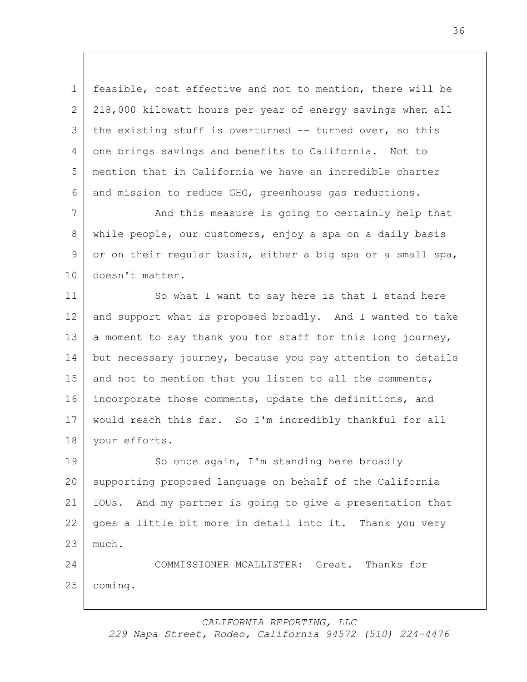1 feasible, cost effective and not to mention, there will be 2 218,000 kilowatt hours per year of energy savings when all 3 the existing stuff is overturned -- turned over, so this 4 one brings savings and benefits to California. Not to 5 mention that in California we have an incredible charter 6 and mission to reduce GHG, greenhouse gas reductions.

7 | And this measure is going to certainly help that 8 while people, our customers, enjoy a spa on a daily basis 9 or on their regular basis, either a big spa or a small spa, 10 doesn't matter.

11 So what I want to say here is that I stand here 12 and support what is proposed broadly. And I wanted to take 13 a moment to say thank you for staff for this long journey, 14 but necessary journey, because you pay attention to details 15 and not to mention that you listen to all the comments, 16 incorporate those comments, update the definitions, and 17 would reach this far. So I'm incredibly thankful for all 18 your efforts.

19 So once again, I'm standing here broadly 20 supporting proposed language on behalf of the California 21 IOUs. And my partner is going to give a presentation that 22 goes a little bit more in detail into it. Thank you very 23 much.

24 COMMISSIONER MCALLISTER: Great. Thanks for 25 coming.

*CALIFORNIA REPORTING, LLC*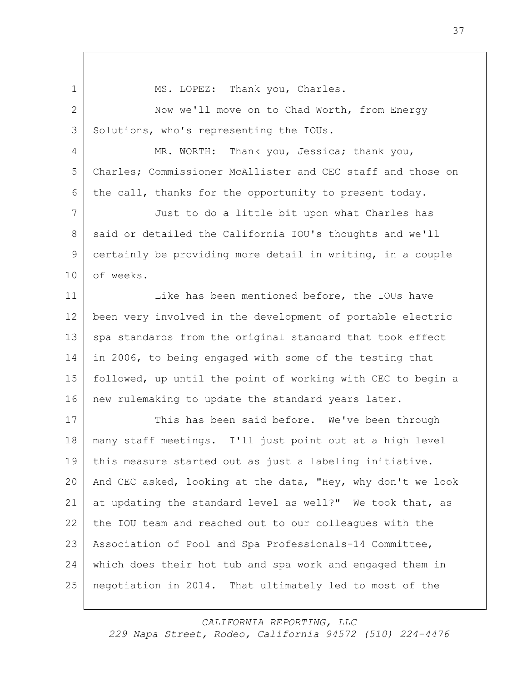1 MS. LOPEZ: Thank you, Charles. 2 Now we'll move on to Chad Worth, from Energy 3 Solutions, who's representing the IOUs. 4 MR. WORTH: Thank you, Jessica; thank you, 5 Charles; Commissioner McAllister and CEC staff and those on 6 the call, thanks for the opportunity to present today. 7 Just to do a little bit upon what Charles has 8 said or detailed the California IOU's thoughts and we'll 9 certainly be providing more detail in writing, in a couple 10 of weeks. 11 Like has been mentioned before, the IOUs have 12 been very involved in the development of portable electric 13 spa standards from the original standard that took effect 14 in 2006, to being engaged with some of the testing that 15 followed, up until the point of working with CEC to begin a 16 new rulemaking to update the standard years later. 17 This has been said before. We've been through 18 many staff meetings. I'll just point out at a high level 19 this measure started out as just a labeling initiative. 20 And CEC asked, looking at the data, "Hey, why don't we look 21 at updating the standard level as well?" We took that, as 22 the IOU team and reached out to our colleagues with the 23 Association of Pool and Spa Professionals-14 Committee, 24 which does their hot tub and spa work and engaged them in 25 negotiation in 2014. That ultimately led to most of the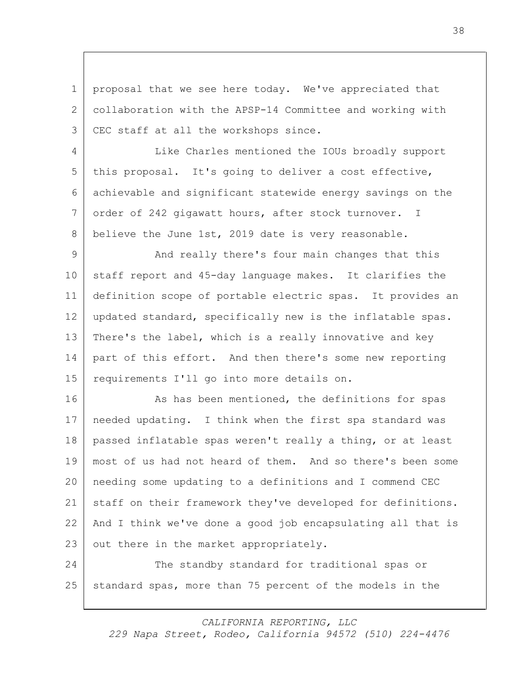1 proposal that we see here today. We've appreciated that 2 collaboration with the APSP-14 Committee and working with 3 CEC staff at all the workshops since.

4 Like Charles mentioned the IOUs broadly support 5 | this proposal. It's going to deliver a cost effective, 6 achievable and significant statewide energy savings on the 7 order of 242 gigawatt hours, after stock turnover. I 8 believe the June 1st, 2019 date is very reasonable.

9 And really there's four main changes that this staff report and 45-day language makes. It clarifies the definition scope of portable electric spas. It provides an updated standard, specifically new is the inflatable spas. 13 | There's the label, which is a really innovative and key part of this effort. And then there's some new reporting requirements I'll go into more details on.

16 As has been mentioned, the definitions for spas needed updating. I think when the first spa standard was passed inflatable spas weren't really a thing, or at least most of us had not heard of them. And so there's been some needing some updating to a definitions and I commend CEC 21 staff on their framework they've developed for definitions. And I think we've done a good job encapsulating all that is 23 | out there in the market appropriately.

24 The standby standard for traditional spas or 25 standard spas, more than 75 percent of the models in the

*CALIFORNIA REPORTING, LLC*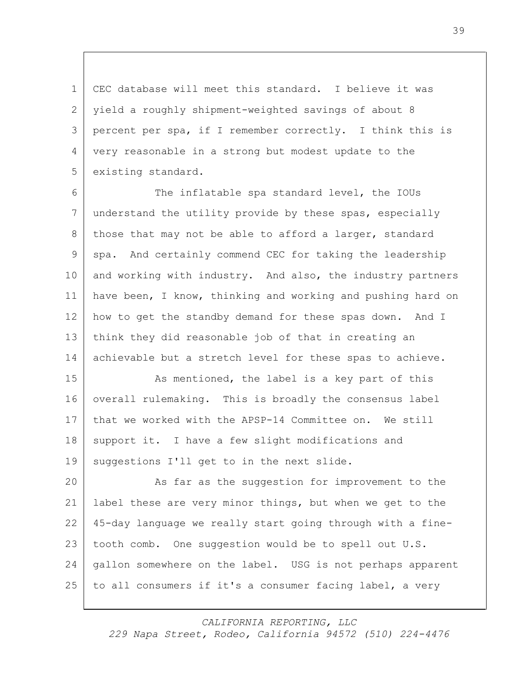CEC database will meet this standard. I believe it was yield a roughly shipment-weighted savings of about 8 percent per spa, if I remember correctly. I think this is very reasonable in a strong but modest update to the 5 existing standard.

 The inflatable spa standard level, the IOUs understand the utility provide by these spas, especially 8 those that may not be able to afford a larger, standard spa. And certainly commend CEC for taking the leadership 10 and working with industry. And also, the industry partners have been, I know, thinking and working and pushing hard on how to get the standby demand for these spas down. And I think they did reasonable job of that in creating an 14 achievable but a stretch level for these spas to achieve.

15 As mentioned, the label is a key part of this 16 overall rulemaking. This is broadly the consensus label 17 that we worked with the APSP-14 Committee on. We still 18 support it. I have a few slight modifications and 19 suggestions I'll get to in the next slide.

20 As far as the suggestion for improvement to the 21 label these are very minor things, but when we get to the 22 45-day language we really start going through with a fine-23 | tooth comb. One suggestion would be to spell out U.S. 24 gallon somewhere on the label. USG is not perhaps apparent 25 to all consumers if it's a consumer facing label, a very

*CALIFORNIA REPORTING, LLC*

39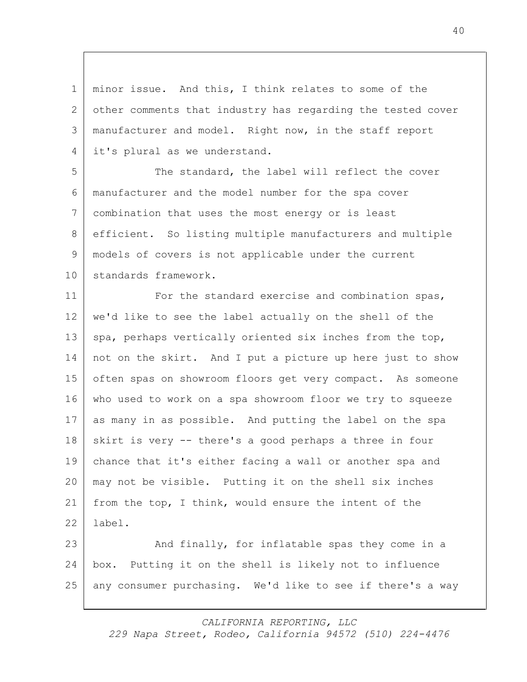minor issue. And this, I think relates to some of the 2 other comments that industry has regarding the tested cover manufacturer and model. Right now, in the staff report 4 it's plural as we understand.

 The standard, the label will reflect the cover manufacturer and the model number for the spa cover combination that uses the most energy or is least efficient. So listing multiple manufacturers and multiple models of covers is not applicable under the current 10 standards framework.

**For the standard exercise and combination spas,**  we'd like to see the label actually on the shell of the 13 spa, perhaps vertically oriented six inches from the top, not on the skirt. And I put a picture up here just to show 15 often spas on showroom floors get very compact. As someone who used to work on a spa showroom floor we try to squeeze as many in as possible. And putting the label on the spa skirt is very -- there's a good perhaps a three in four chance that it's either facing a wall or another spa and may not be visible. Putting it on the shell six inches from the top, I think, would ensure the intent of the label.

23 And finally, for inflatable spas they come in a box. Putting it on the shell is likely not to influence any consumer purchasing. We'd like to see if there's a way

> *CALIFORNIA REPORTING, LLC 229 Napa Street, Rodeo, California 94572 (510) 224-4476*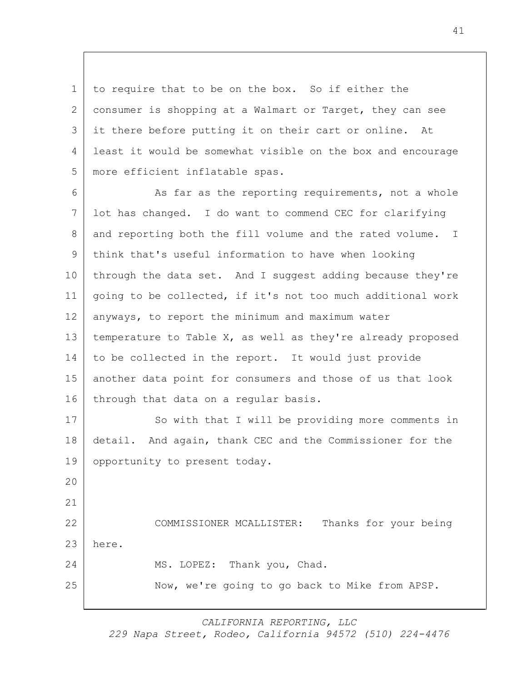to require that to be on the box. So if either the 2 consumer is shopping at a Walmart or Target, they can see it there before putting it on their cart or online. At least it would be somewhat visible on the box and encourage more efficient inflatable spas.

6 As far as the reporting requirements, not a whole lot has changed. I do want to commend CEC for clarifying 8 and reporting both the fill volume and the rated volume. I think that's useful information to have when looking 10 through the data set. And I suggest adding because they're going to be collected, if it's not too much additional work anyways, to report the minimum and maximum water temperature to Table X, as well as they're already proposed to be collected in the report. It would just provide another data point for consumers and those of us that look 16 through that data on a regular basis. 17 So with that I will be providing more comments in

 detail. And again, thank CEC and the Commissioner for the 19 opportunity to present today.

 COMMISSIONER MCALLISTER: Thanks for your being here. 24 MS. LOPEZ: Thank you, Chad. Now, we're going to go back to Mike from APSP.

*CALIFORNIA REPORTING, LLC*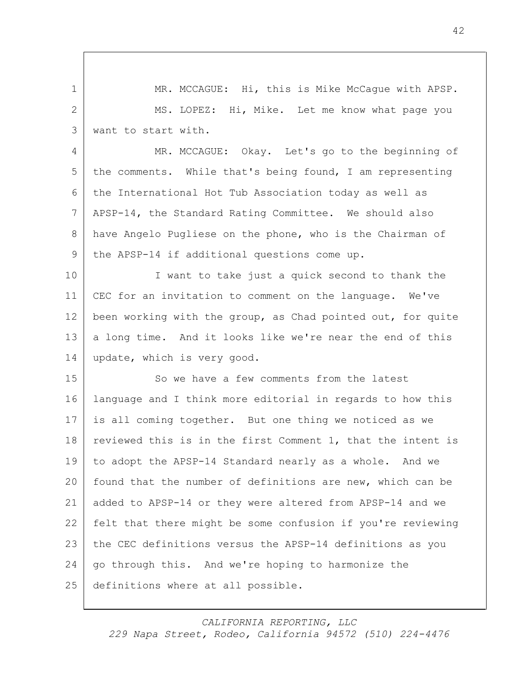MR. MCCAGUE: Hi, this is Mike McCague with APSP. MS. LOPEZ: Hi, Mike. Let me know what page you want to start with.

4 MR. MCCAGUE: Okay. Let's go to the beginning of 5 | the comments. While that's being found, I am representing the International Hot Tub Association today as well as APSP-14, the Standard Rating Committee. We should also have Angelo Pugliese on the phone, who is the Chairman of 9 | the APSP-14 if additional questions come up.

10 I want to take just a quick second to thank the CEC for an invitation to comment on the language. We've 12 been working with the group, as Chad pointed out, for quite 13 a long time. And it looks like we're near the end of this 14 | update, which is very good.

15 So we have a few comments from the latest language and I think more editorial in regards to how this is all coming together. But one thing we noticed as we 18 reviewed this is in the first Comment 1, that the intent is to adopt the APSP-14 Standard nearly as a whole. And we found that the number of definitions are new, which can be added to APSP-14 or they were altered from APSP-14 and we felt that there might be some confusion if you're reviewing the CEC definitions versus the APSP-14 definitions as you go through this. And we're hoping to harmonize the definitions where at all possible.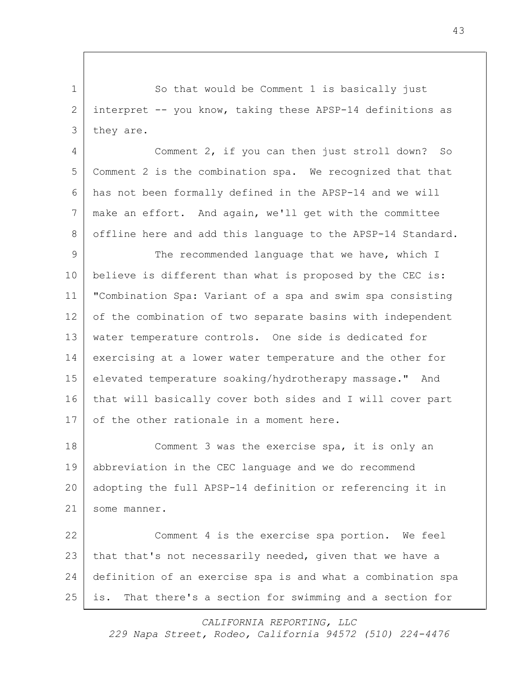1 So that would be Comment 1 is basically just interpret -- you know, taking these APSP-14 definitions as 3 they are.

4 Comment 2, if you can then just stroll down? So Comment 2 is the combination spa. We recognized that that has not been formally defined in the APSP-14 and we will make an effort. And again, we'll get with the committee 8 offline here and add this language to the APSP-14 Standard.

9 The recommended language that we have, which I believe is different than what is proposed by the CEC is: "Combination Spa: Variant of a spa and swim spa consisting 12 of the combination of two separate basins with independent water temperature controls. One side is dedicated for exercising at a lower water temperature and the other for elevated temperature soaking/hydrotherapy massage." And that will basically cover both sides and I will cover part 17 of the other rationale in a moment here.

 Comment 3 was the exercise spa, it is only an abbreviation in the CEC language and we do recommend adopting the full APSP-14 definition or referencing it in some manner.

 Comment 4 is the exercise spa portion. We feel 23 | that that's not necessarily needed, given that we have a definition of an exercise spa is and what a combination spa is. That there's a section for swimming and a section for

*CALIFORNIA REPORTING, LLC*

*229 Napa Street, Rodeo, California 94572 (510) 224-4476*

####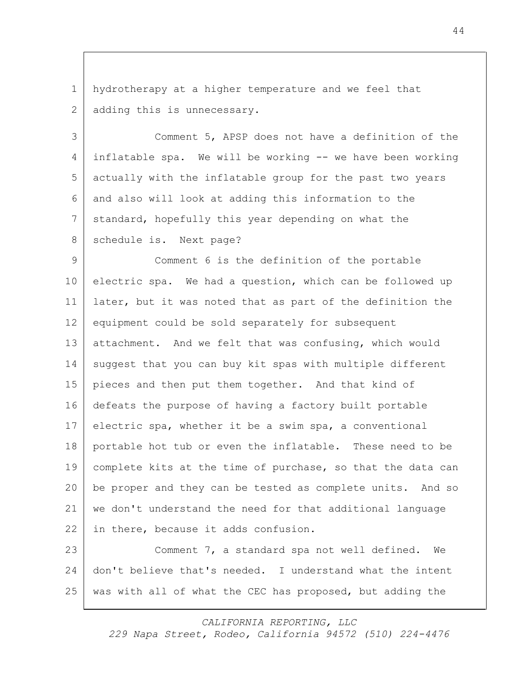1 hydrotherapy at a higher temperature and we feel that 2 adding this is unnecessary.

3 Comment 5, APSP does not have a definition of the 4 inflatable spa. We will be working -- we have been working 5 actually with the inflatable group for the past two years 6 and also will look at adding this information to the 7 standard, hopefully this year depending on what the 8 schedule is. Next page?

9 Comment 6 is the definition of the portable 10 electric spa. We had a question, which can be followed up 11 later, but it was noted that as part of the definition the 12 equipment could be sold separately for subsequent 13 attachment. And we felt that was confusing, which would 14 suggest that you can buy kit spas with multiple different 15 pieces and then put them together. And that kind of 16 defeats the purpose of having a factory built portable 17 electric spa, whether it be a swim spa, a conventional 18 portable hot tub or even the inflatable. These need to be 19 complete kits at the time of purchase, so that the data can 20 be proper and they can be tested as complete units. And so 21 we don't understand the need for that additional language 22 in there, because it adds confusion.

23 Comment 7, a standard spa not well defined. We 24 don't believe that's needed. I understand what the intent 25 was with all of what the CEC has proposed, but adding the

*CALIFORNIA REPORTING, LLC*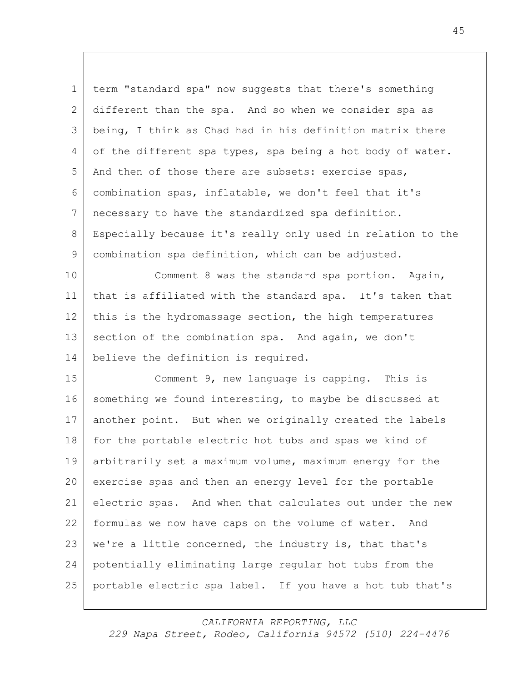term "standard spa" now suggests that there's something different than the spa. And so when we consider spa as being, I think as Chad had in his definition matrix there 4 of the different spa types, spa being a hot body of water. 5 And then of those there are subsets: exercise spas, combination spas, inflatable, we don't feel that it's necessary to have the standardized spa definition. Especially because it's really only used in relation to the combination spa definition, which can be adjusted.

 Comment 8 was the standard spa portion. Again, that is affiliated with the standard spa. It's taken that 12 this is the hydromassage section, the high temperatures 13 section of the combination spa. And again, we don't believe the definition is required.

 Comment 9, new language is capping. This is 16 something we found interesting, to maybe be discussed at another point. But when we originally created the labels 18 for the portable electric hot tubs and spas we kind of arbitrarily set a maximum volume, maximum energy for the exercise spas and then an energy level for the portable electric spas. And when that calculates out under the new formulas we now have caps on the volume of water. And 23 | we're a little concerned, the industry is, that that's potentially eliminating large regular hot tubs from the portable electric spa label. If you have a hot tub that's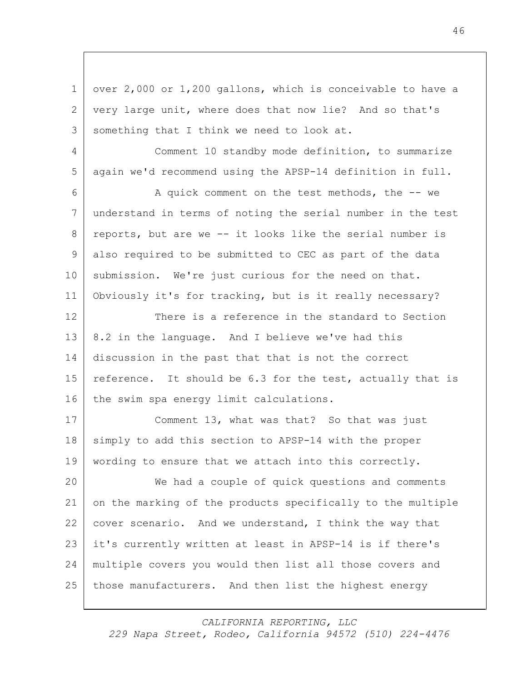1 over 2,000 or 1,200 gallons, which is conceivable to have a very large unit, where does that now lie? And so that's 3 something that I think we need to look at. Comment 10 standby mode definition, to summarize again we'd recommend using the APSP-14 definition in full. A quick comment on the test methods, the -- we understand in terms of noting the serial number in the test reports, but are we -- it looks like the serial number is also required to be submitted to CEC as part of the data 10 submission. We're just curious for the need on that. Obviously it's for tracking, but is it really necessary? 12 There is a reference in the standard to Section 13 8.2 in the language. And I believe we've had this discussion in the past that that is not the correct 15 reference. It should be 6.3 for the test, actually that is 16 the swim spa energy limit calculations. 17 | Comment 13, what was that? So that was just 18 simply to add this section to APSP-14 with the proper wording to ensure that we attach into this correctly. We had a couple of quick questions and comments on the marking of the products specifically to the multiple cover scenario. And we understand, I think the way that it's currently written at least in APSP-14 is if there's multiple covers you would then list all those covers and those manufacturers. And then list the highest energy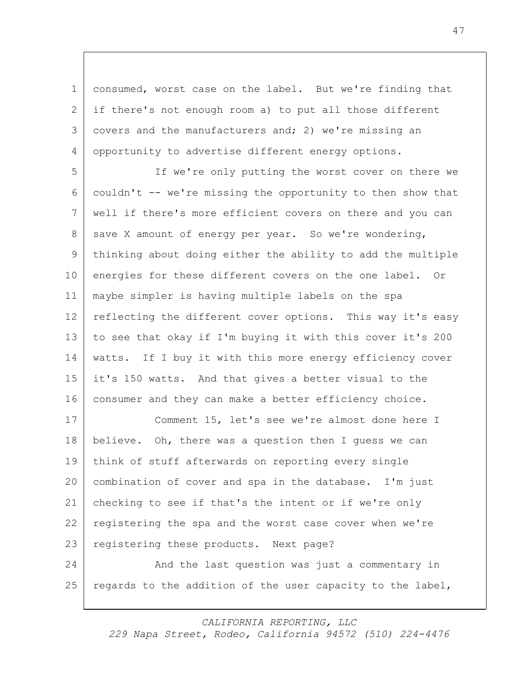1 consumed, worst case on the label. But we're finding that 2 if there's not enough room a) to put all those different 3 covers and the manufacturers and; 2) we're missing an 4 opportunity to advertise different energy options.

5 If we're only putting the worst cover on there we 6 couldn't -- we're missing the opportunity to then show that 7 well if there's more efficient covers on there and you can 8 save X amount of energy per year. So we're wondering, 9 thinking about doing either the ability to add the multiple 10 energies for these different covers on the one label. Or 11 maybe simpler is having multiple labels on the spa 12 reflecting the different cover options. This way it's easy 13 to see that okay if I'm buying it with this cover it's 200 14 | watts. If I buy it with this more energy efficiency cover 15 it's 150 watts. And that gives a better visual to the 16 consumer and they can make a better efficiency choice.

 Comment 15, let's see we're almost done here I 18 believe. Oh, there was a question then I quess we can think of stuff afterwards on reporting every single combination of cover and spa in the database. I'm just checking to see if that's the intent or if we're only registering the spa and the worst case cover when we're 23 | registering these products. Next page? 24 And the last question was just a commentary in

25 regards to the addition of the user capacity to the label,

*CALIFORNIA REPORTING, LLC*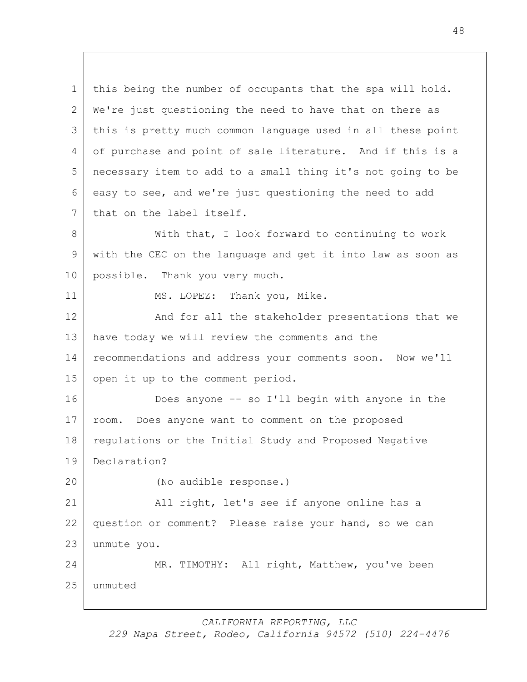this being the number of occupants that the spa will hold. We're just questioning the need to have that on there as this is pretty much common language used in all these point 4 of purchase and point of sale literature. And if this is a necessary item to add to a small thing it's not going to be easy to see, and we're just questioning the need to add 7 that on the label itself. 8 | With that, I look forward to continuing to work with the CEC on the language and get it into law as soon as possible. Thank you very much.

11 MS. LOPEZ: Thank you, Mike.

12 And for all the stakeholder presentations that we have today we will review the comments and the recommendations and address your comments soon. Now we'll 15 open it up to the comment period.

 Does anyone -- so I'll begin with anyone in the room. Does anyone want to comment on the proposed 18 regulations or the Initial Study and Proposed Negative Declaration?

(No audible response.)

 All right, let's see if anyone online has a question or comment? Please raise your hand, so we can unmute you.

 MR. TIMOTHY: All right, Matthew, you've been unmuted

*CALIFORNIA REPORTING, LLC*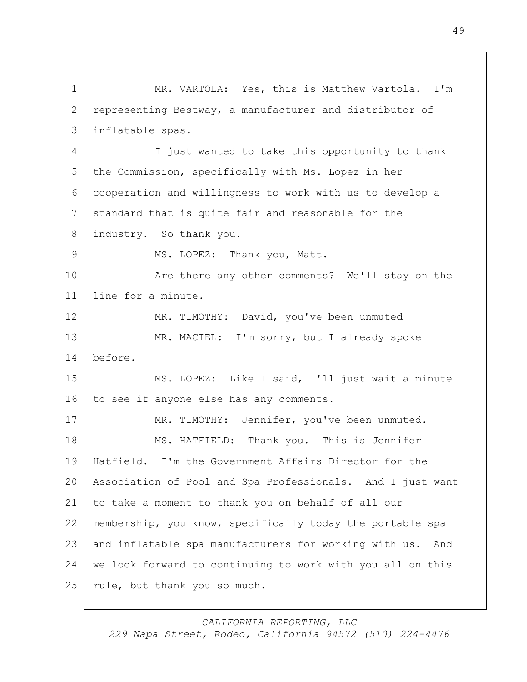1 | MR. VARTOLA: Yes, this is Matthew Vartola. I'm 2 representing Bestway, a manufacturer and distributor of 3 inflatable spas. 4 I just wanted to take this opportunity to thank 5 the Commission, specifically with Ms. Lopez in her 6 cooperation and willingness to work with us to develop a 7 standard that is quite fair and reasonable for the 8 industry. So thank you. 9 MS. LOPEZ: Thank you, Matt. 10 **Are there any other comments?** We'll stay on the 11 line for a minute. 12 MR. TIMOTHY: David, you've been unmuted 13 MR. MACIEL: I'm sorry, but I already spoke 14 before. 15 MS. LOPEZ: Like I said, I'll just wait a minute 16 to see if anyone else has any comments. 17 MR. TIMOTHY: Jennifer, you've been unmuted. 18 MS. HATFIELD: Thank you. This is Jennifer 19 Hatfield. I'm the Government Affairs Director for the 20 Association of Pool and Spa Professionals. And I just want 21 to take a moment to thank you on behalf of all our 22 membership, you know, specifically today the portable spa 23 and inflatable spa manufacturers for working with us. And 24 we look forward to continuing to work with you all on this 25 | rule, but thank you so much.

*CALIFORNIA REPORTING, LLC*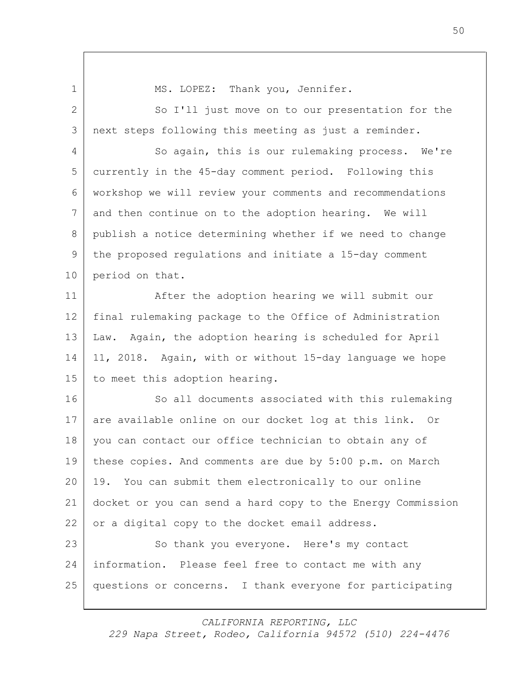1 | MS. LOPEZ: Thank you, Jennifer. 2 So I'll just move on to our presentation for the 3 next steps following this meeting as just a reminder. 4 So again, this is our rulemaking process. We're 5 currently in the 45-day comment period. Following this 6 workshop we will review your comments and recommendations 7 and then continue on to the adoption hearing. We will 8 publish a notice determining whether if we need to change 9 the proposed regulations and initiate a 15-day comment 10 period on that. 11 After the adoption hearing we will submit our 12 final rulemaking package to the Office of Administration 13 Law. Again, the adoption hearing is scheduled for April 14 11, 2018. Again, with or without 15-day language we hope 15 to meet this adoption hearing. 16 So all documents associated with this rulemaking 17 are available online on our docket log at this link. Or 18 you can contact our office technician to obtain any of 19 these copies. And comments are due by 5:00 p.m. on March 20 19. You can submit them electronically to our online 21 docket or you can send a hard copy to the Energy Commission 22 or a digital copy to the docket email address. 23 So thank you everyone. Here's my contact 24 information. Please feel free to contact me with any 25 questions or concerns. I thank everyone for participating

*CALIFORNIA REPORTING, LLC*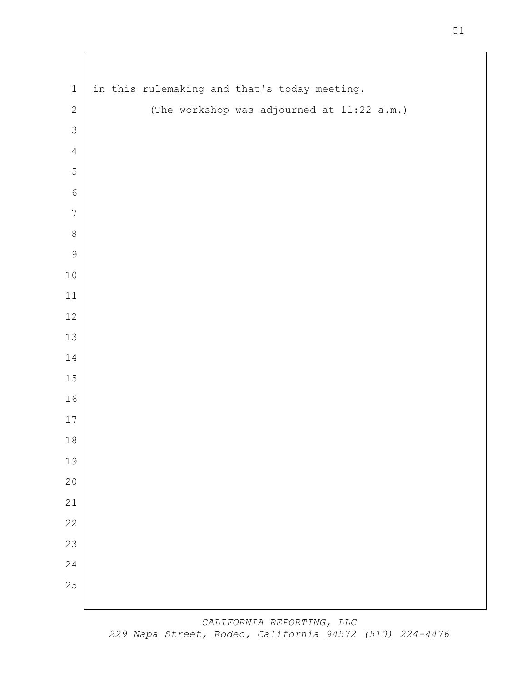| $\,1\,$        | in this rulemaking and that's today meeting. |
|----------------|----------------------------------------------|
| $\sqrt{2}$     | (The workshop was adjourned at 11:22 a.m.)   |
| $\mathcal{S}$  |                                              |
| $\overline{4}$ |                                              |
| $\mathsf S$    |                                              |
| $\epsilon$     |                                              |
| $\sqrt{ }$     |                                              |
| $\,8\,$        |                                              |
| $\mathcal{G}$  |                                              |
| $10\,$         |                                              |
| $11\,$         |                                              |
| 12             |                                              |
| 13             |                                              |
| 14             |                                              |
| $15\,$         |                                              |
| $16\,$         |                                              |
| $17\,$         |                                              |
| $1\,8$         |                                              |
| 19<br>20       |                                              |
| 21             |                                              |
| 22             |                                              |
| 23             |                                              |
| 24             |                                              |
| 25             |                                              |
|                |                                              |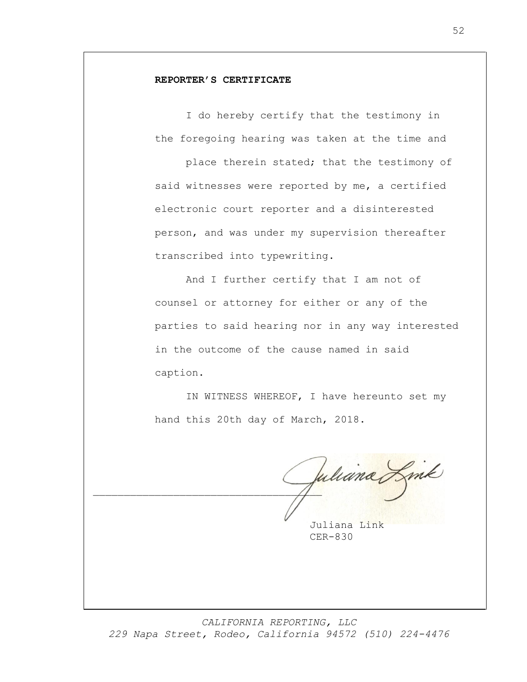## **REPORTER'S CERTIFICATE**

I do hereby certify that the testimony in the foregoing hearing was taken at the time and

place therein stated; that the testimony of said witnesses were reported by me, a certified electronic court reporter and a disinterested person, and was under my supervision thereafter transcribed into typewriting.

And I further certify that I am not of counsel or attorney for either or any of the parties to said hearing nor in any way interested in the outcome of the cause named in said caption.

IN WITNESS WHEREOF, I have hereunto set my hand this 20th day of March, 2018.

 $\sqrt{2}$ 

Juliana Link CER-830